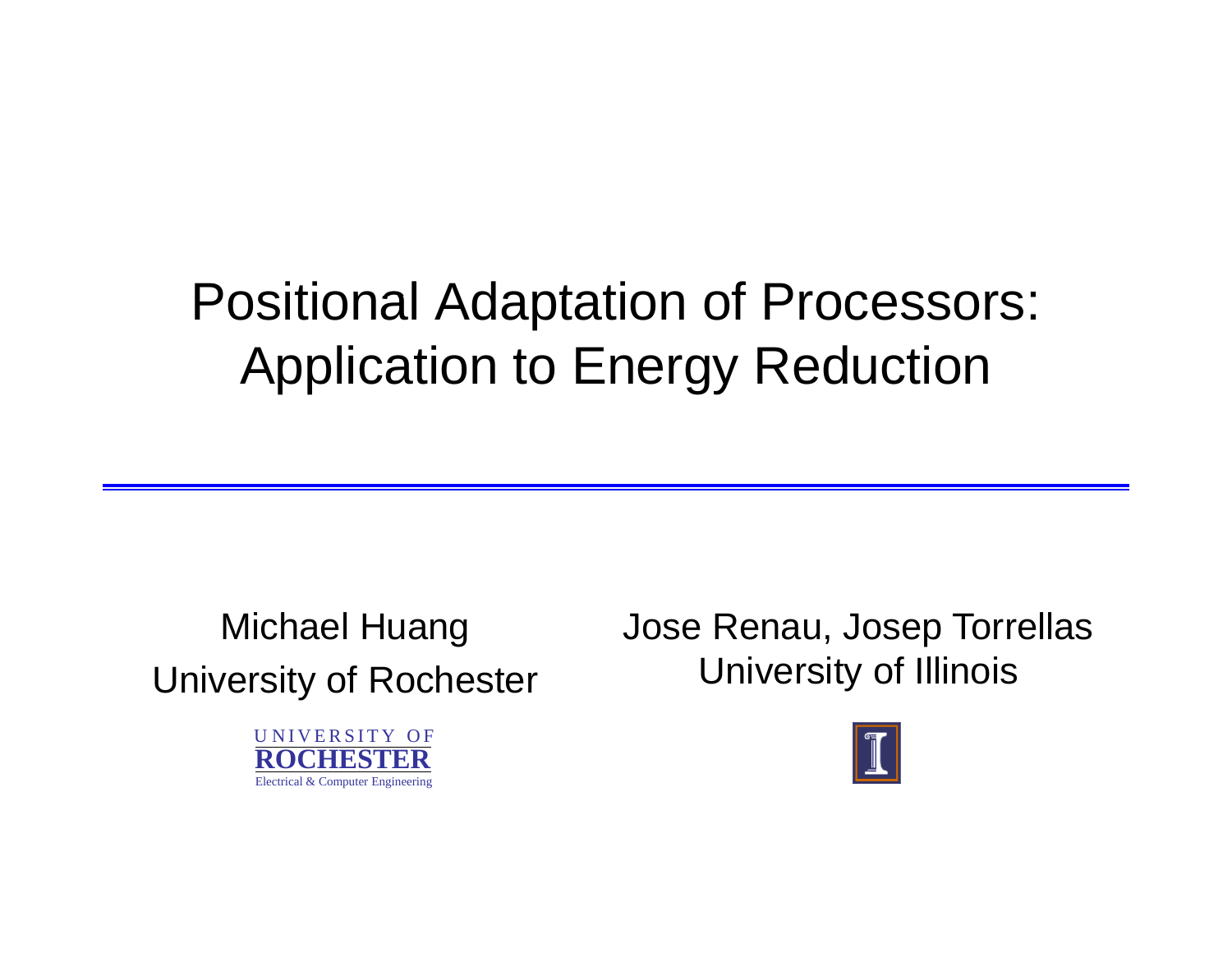## Positional Adaptation of Processors: Application to Energy Reduction

University of Rochester University of Illinois

UNIVERSITY OF **ROCHESTER**Electrical & Computer Engineering

Michael Huang Jose Renau, Josep Torrellas

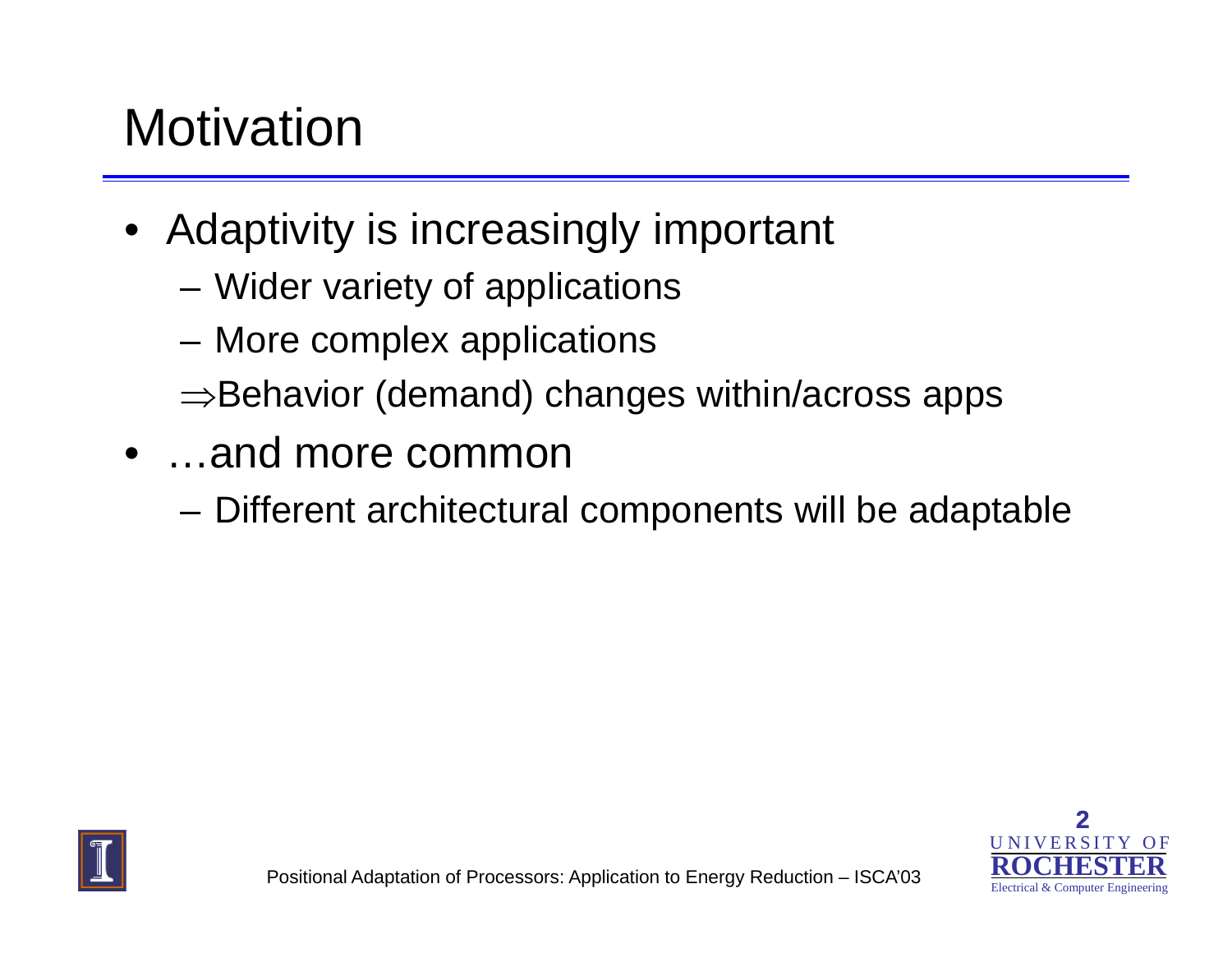## **Motivation**

- Adaptivity is increasingly important
	- –Wider variety of applications
	- –More complex applications
	- <sup>⇒</sup>Behavior (demand) changes within/across apps
- …and more common
	- –Different architectural components will be adaptable



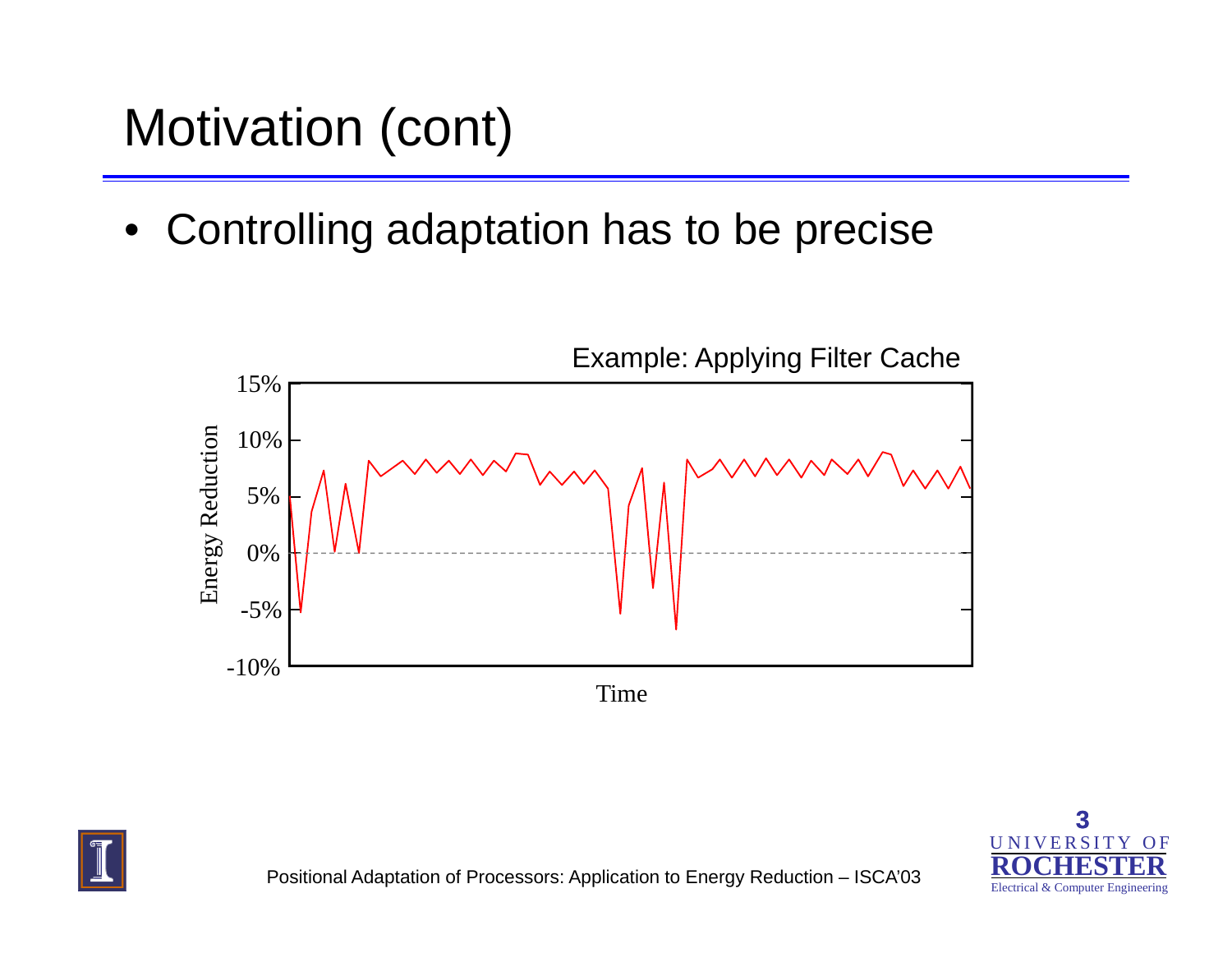# Motivation (cont)

 $\bullet$ Controlling adaptation has to be precise





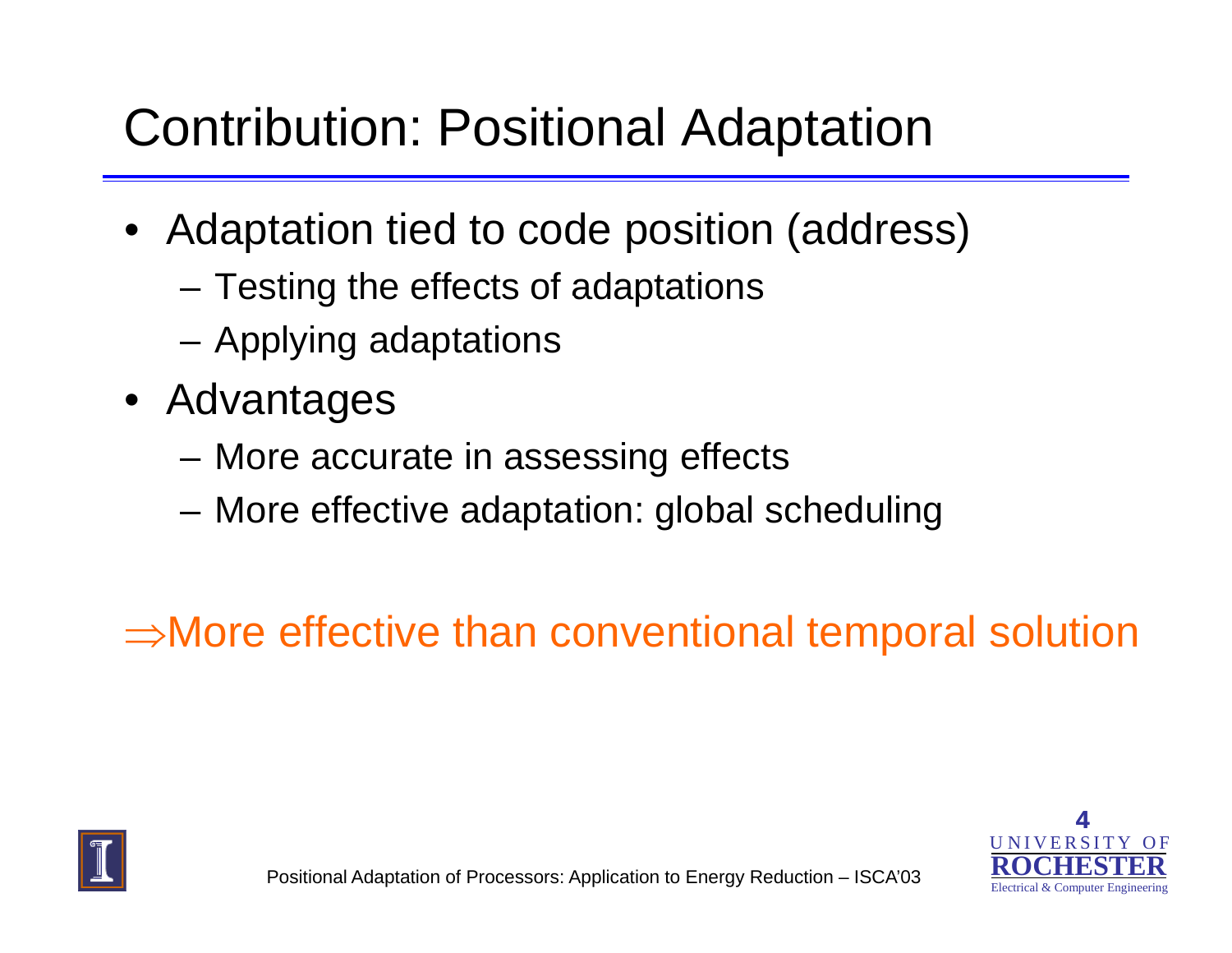#### Contribution: Positional Adaptation

- Adaptation tied to code position (address)
	- –– Testing the effects of adaptations
	- –Applying adaptations
- Advanta ges
	- and the state of the More accurate in assessing effects
	- –More effective adaptation: global scheduling

⇒More effective than conventional tem poral solution



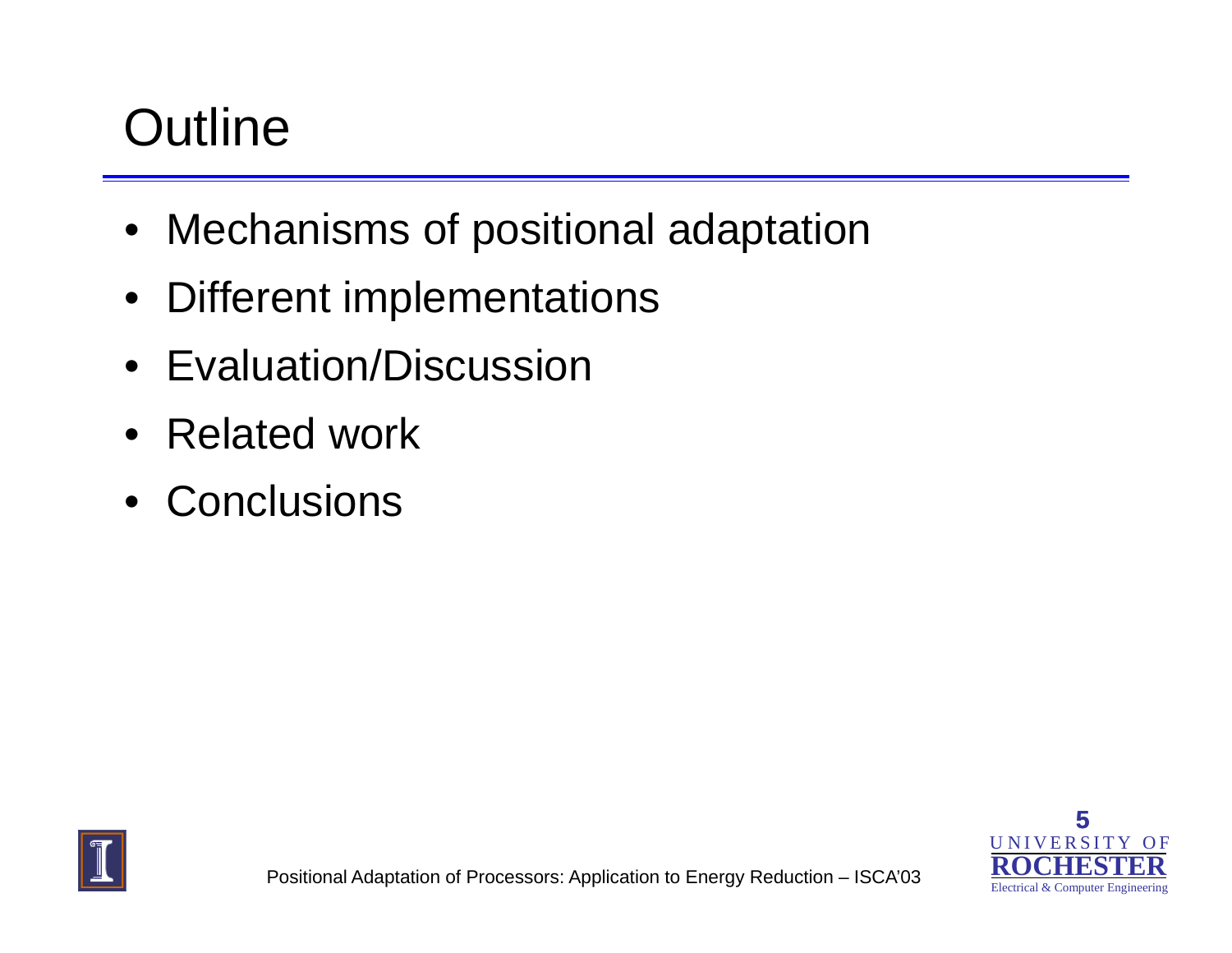# **Outline**

- Mechanisms of positional adaptation
- $\bullet$ Different implementations
- Evaluation/Discussion
- Related work
- Conclusions



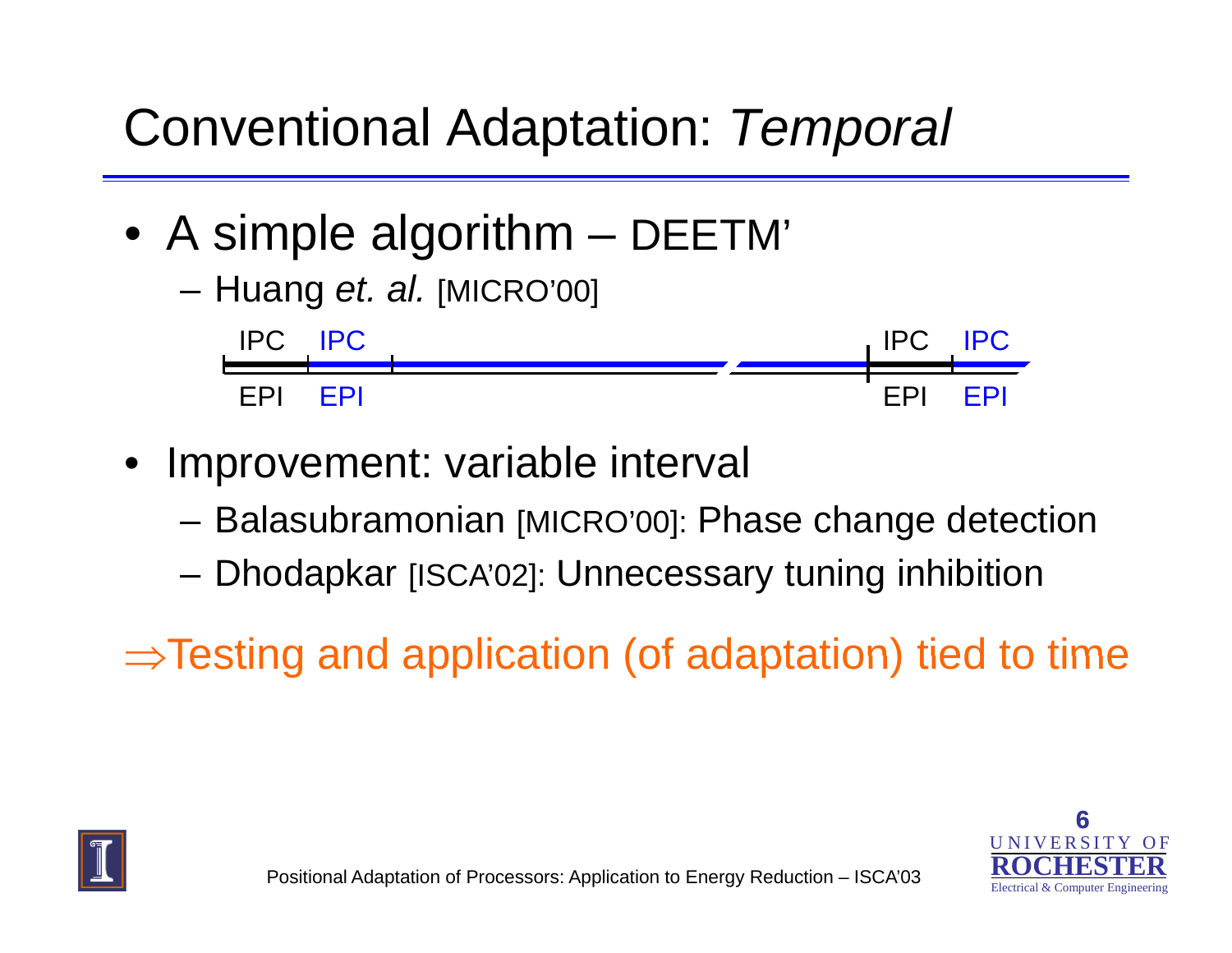#### Conventional Adaptation: *Temporal*

- A simple algorithm DEETM'
	- –Huang *et al* [MICRO'00] *et. al.* [MICRO 00]IPC



- • Improvement: variable interval
	- –- Balasubramonian [MICRO'00]: Phase change detection
	- and the state of the Dhodapkar [ISCA'02]: Unnecessary tuning inhibition

 $\Rightarrow$  Testing and application (of adaptation) tied to time



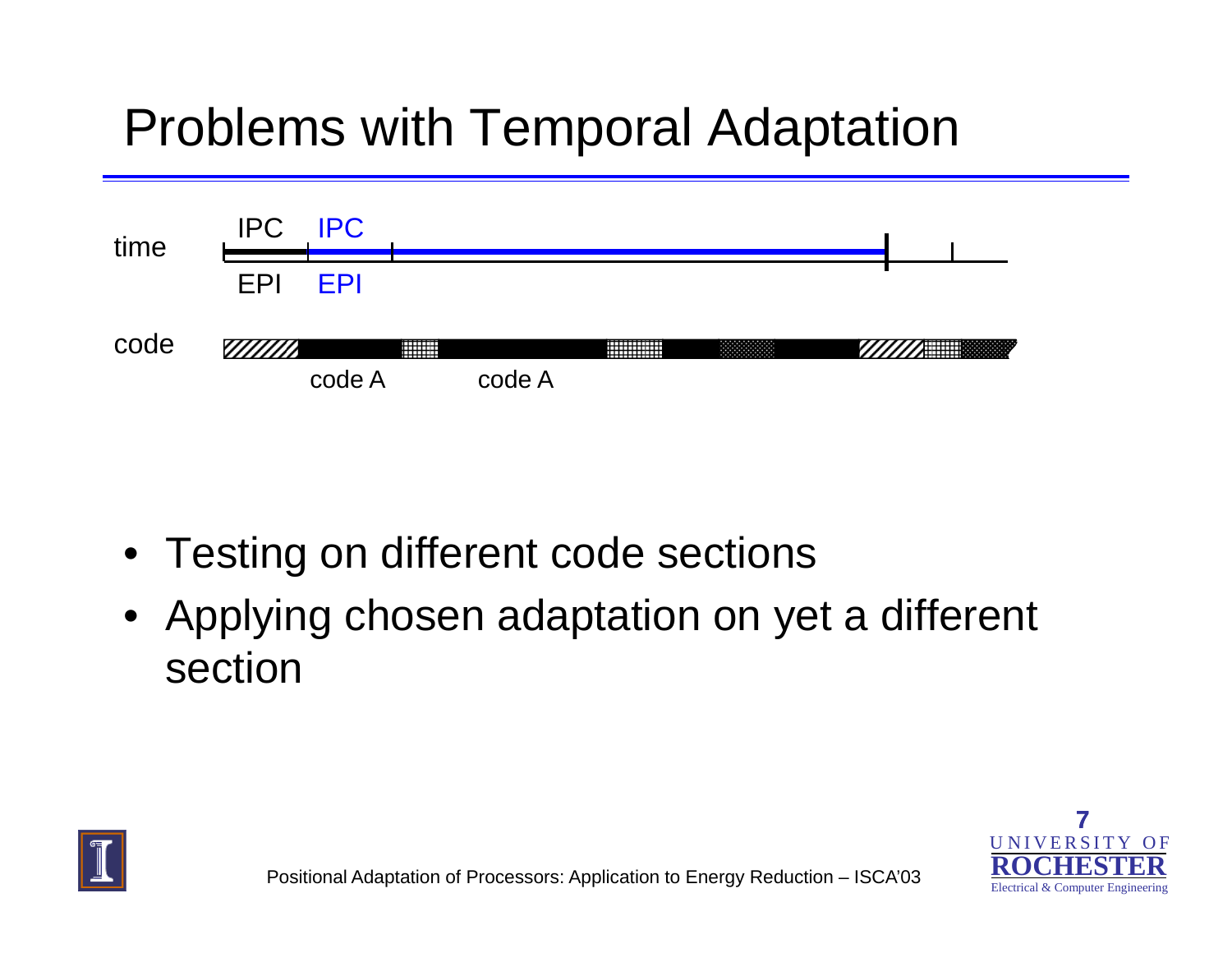## Problems with Temporal Adaptation



- Testing on different code sections
- Applying chosen adaptation on yet a different section



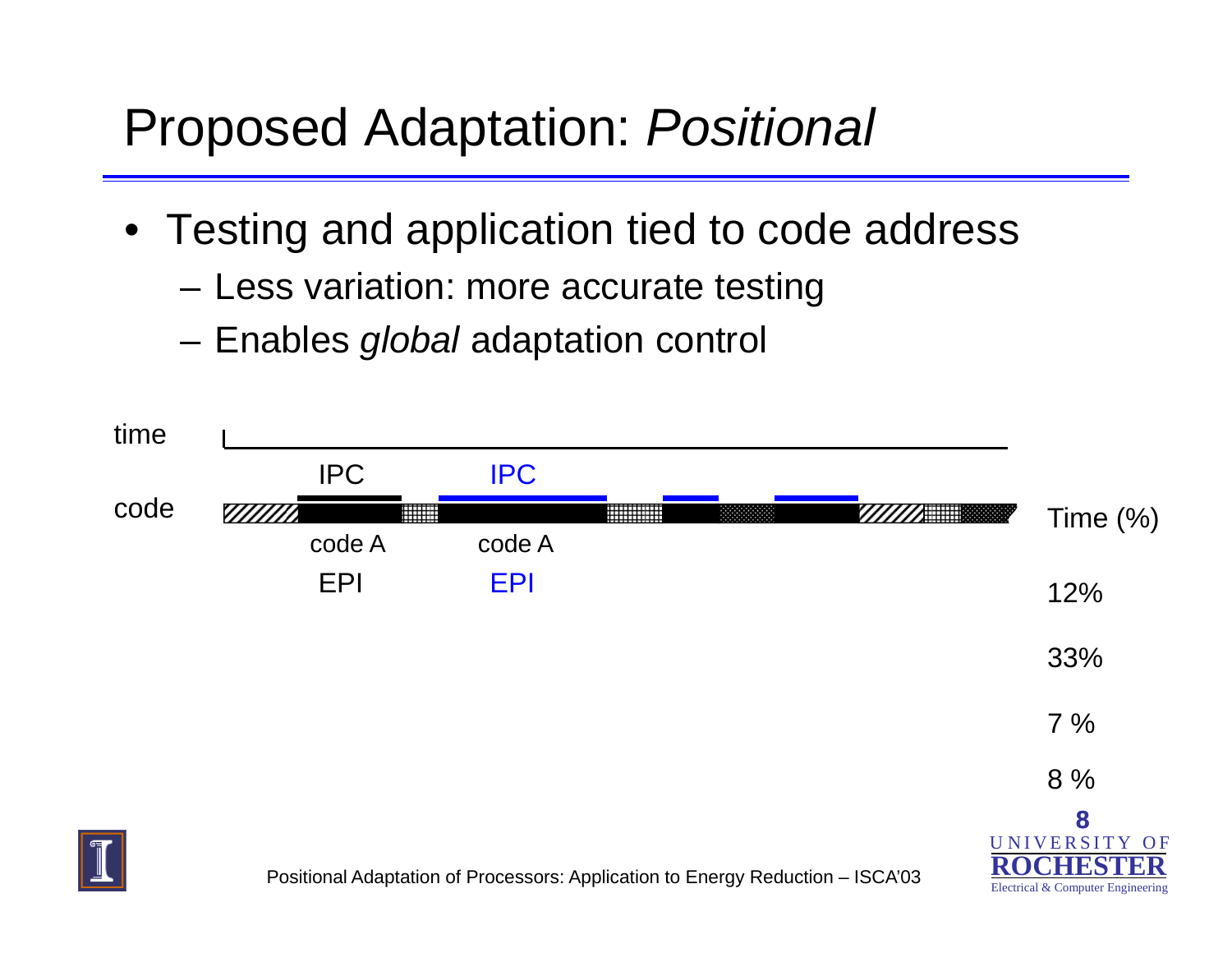#### Proposed Adaptation: *Positional*

- Testing and application tied to code address
	- –– Less variation: more accurate testing
	- –Enables *global* adaptation control

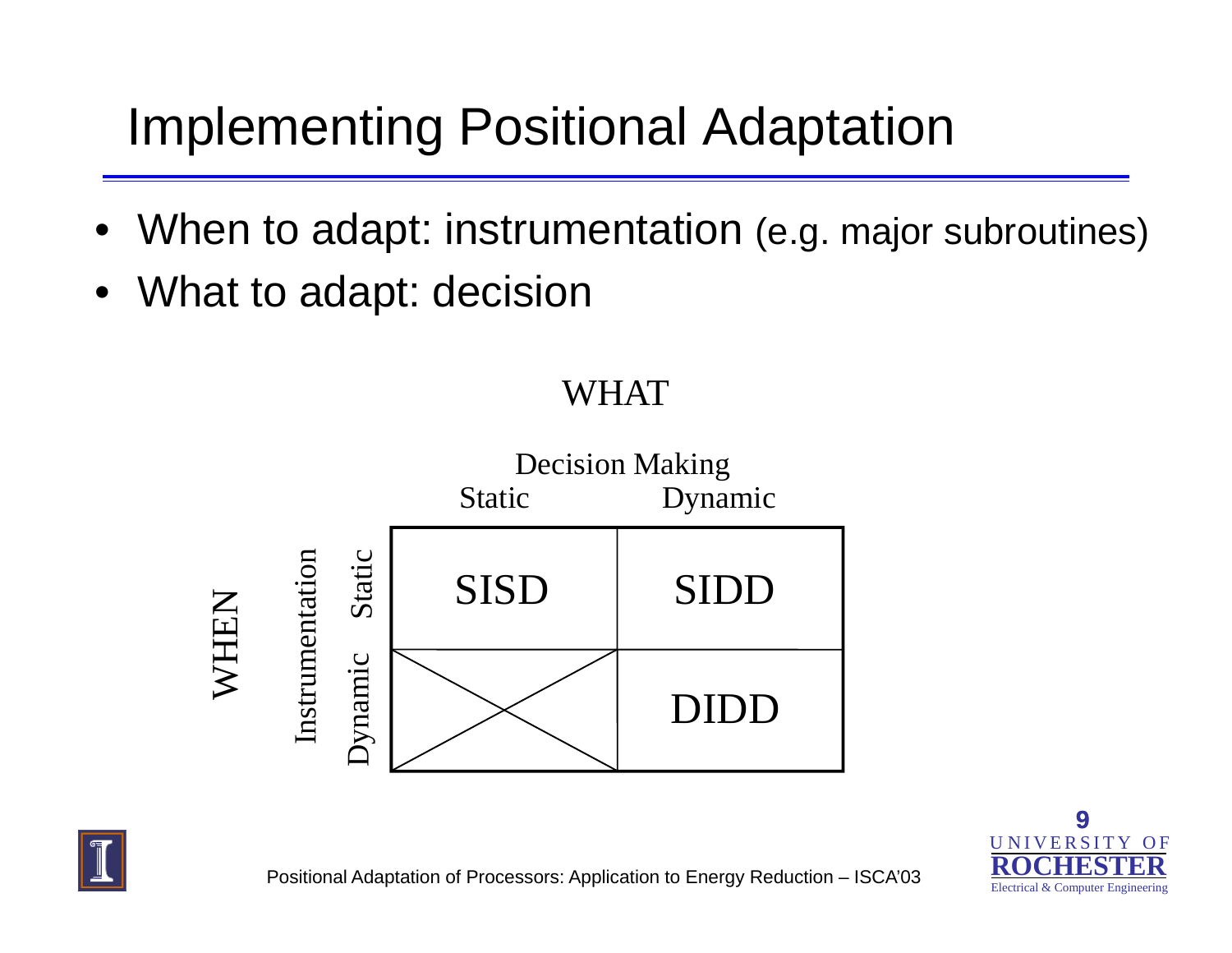## Implementing Positional Adaptation

- $\bullet$ When to adapt: instrumentation (e.g. major subroutines)
- What to adapt: decision



#### WHAT



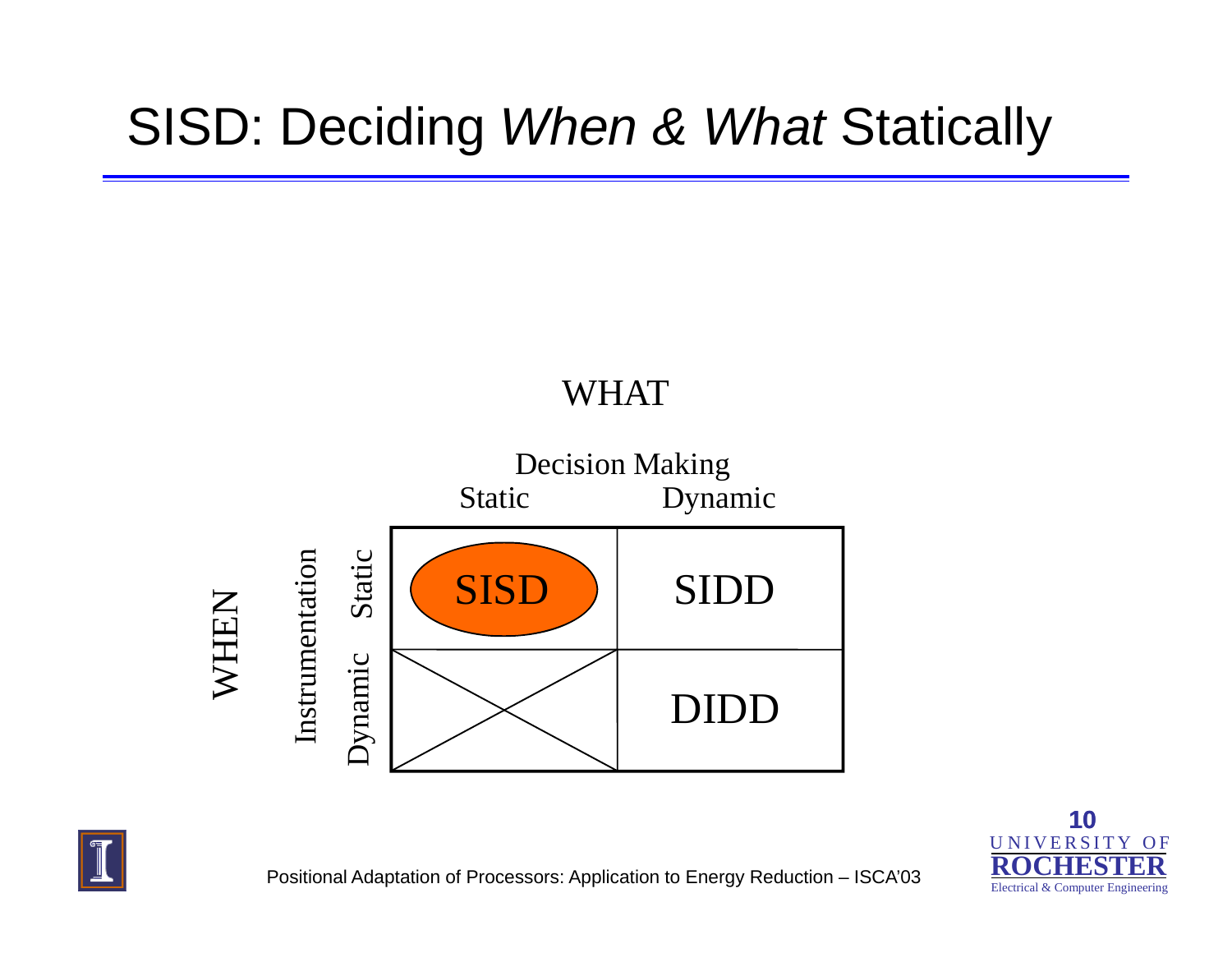#### SISD: Deciding *When & What* Statically

#### WHAT







Positional Adaptation of Processors: Application to Energy Reduction – ISCA'03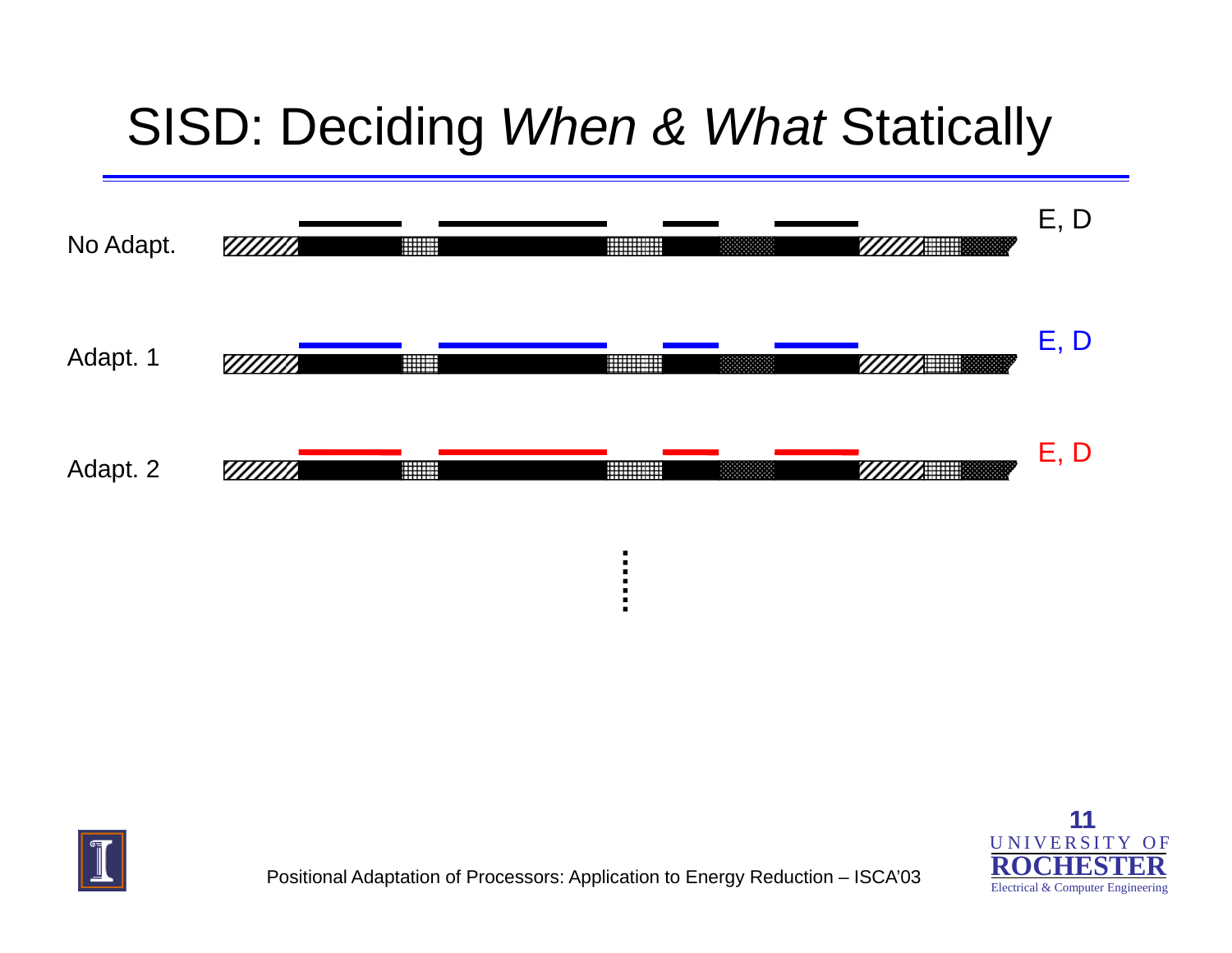#### SISD: Deciding *When & What* Statically







Positional Adaptation of Processors: Application to Energy Reduction – ISCA'03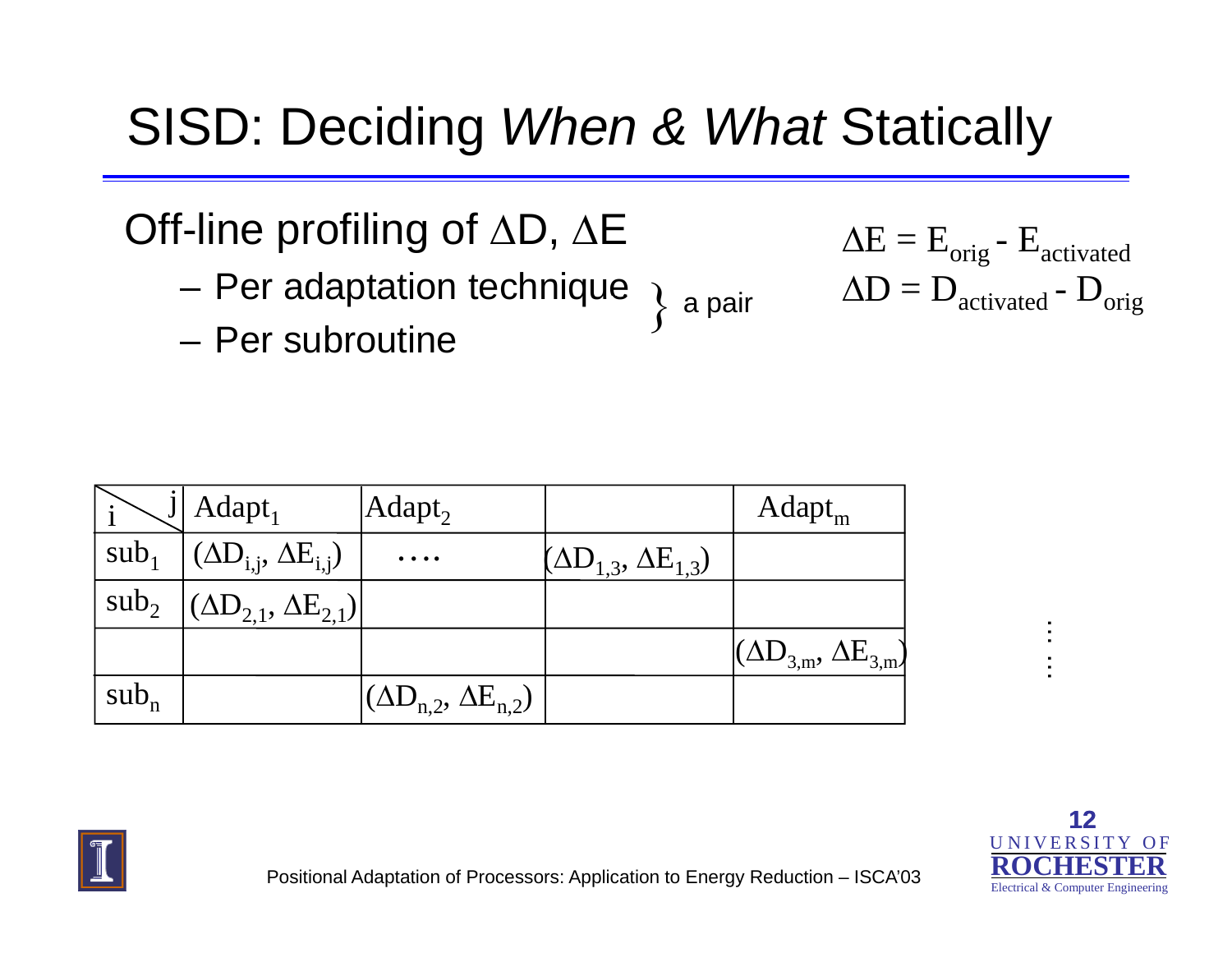#### SISD: Deciding *When & What* Statically

Off-line profiling of ΔD, ΔE

- –– Per adaptation technique  $\, \big\} \,$  a pair  $\qquad \Delta \mathrm{D}$  =  $\mathrm{D}_{\mathrm{activated}}$  -  $\mathrm{D}_{\mathrm{orig}}$  – Per subroutine
- Per subroutine

| a pair |  |
|--------|--|

$$
\Delta E = E_{orig} - E_{activated}
$$

$$
\Delta D = D_{activated} - D_{orig}
$$

|                  | Adapt <sub>1</sub>                     | Adapt <sub>2</sub>                                                                                    |                                    | Adapt <sub>m</sub>                 |  |
|------------------|----------------------------------------|-------------------------------------------------------------------------------------------------------|------------------------------------|------------------------------------|--|
| sub <sub>1</sub> | $(\Delta D_{i,j}, \Delta E_{i,j})$     | $\begin{array}{cccccccccccccc} \bullet & \bullet & \bullet & \bullet & \bullet & \bullet \end{array}$ | $(\Delta D_{1,3}, \Delta E_{1,3})$ |                                    |  |
| $sub_2$          | $(AD_{2,1}, \Delta E_{2,1})^{\dagger}$ |                                                                                                       |                                    |                                    |  |
|                  |                                        |                                                                                                       |                                    | $(\Delta D_{3,m}, \Delta E_{3,m})$ |  |
| $sub_n$          |                                        | $(\Delta D_{n,2}, \Delta E_{n,2})$                                                                    |                                    |                                    |  |



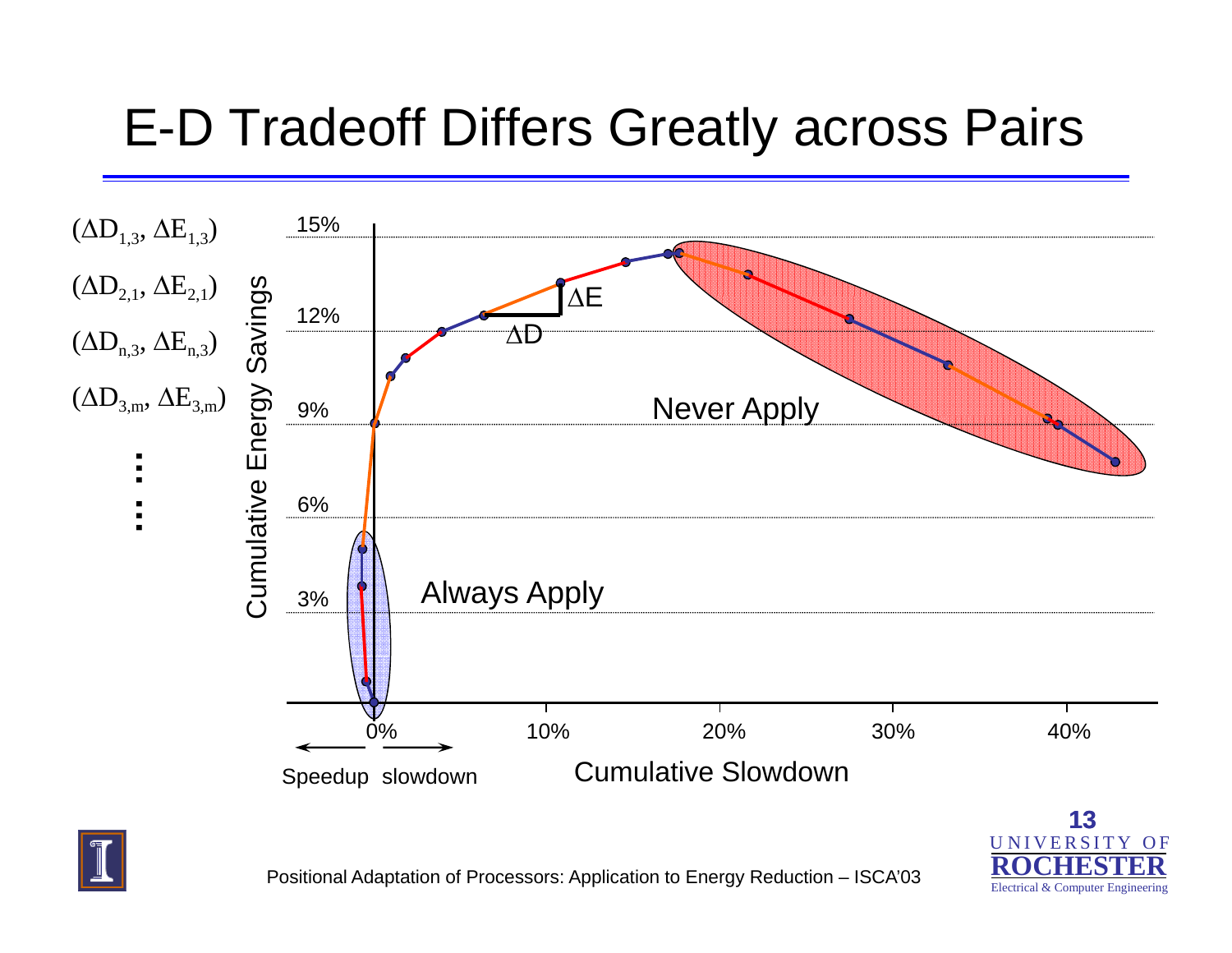#### E-D Tradeoff Differs Greatly across Pairs





Electrical & Computer Engineering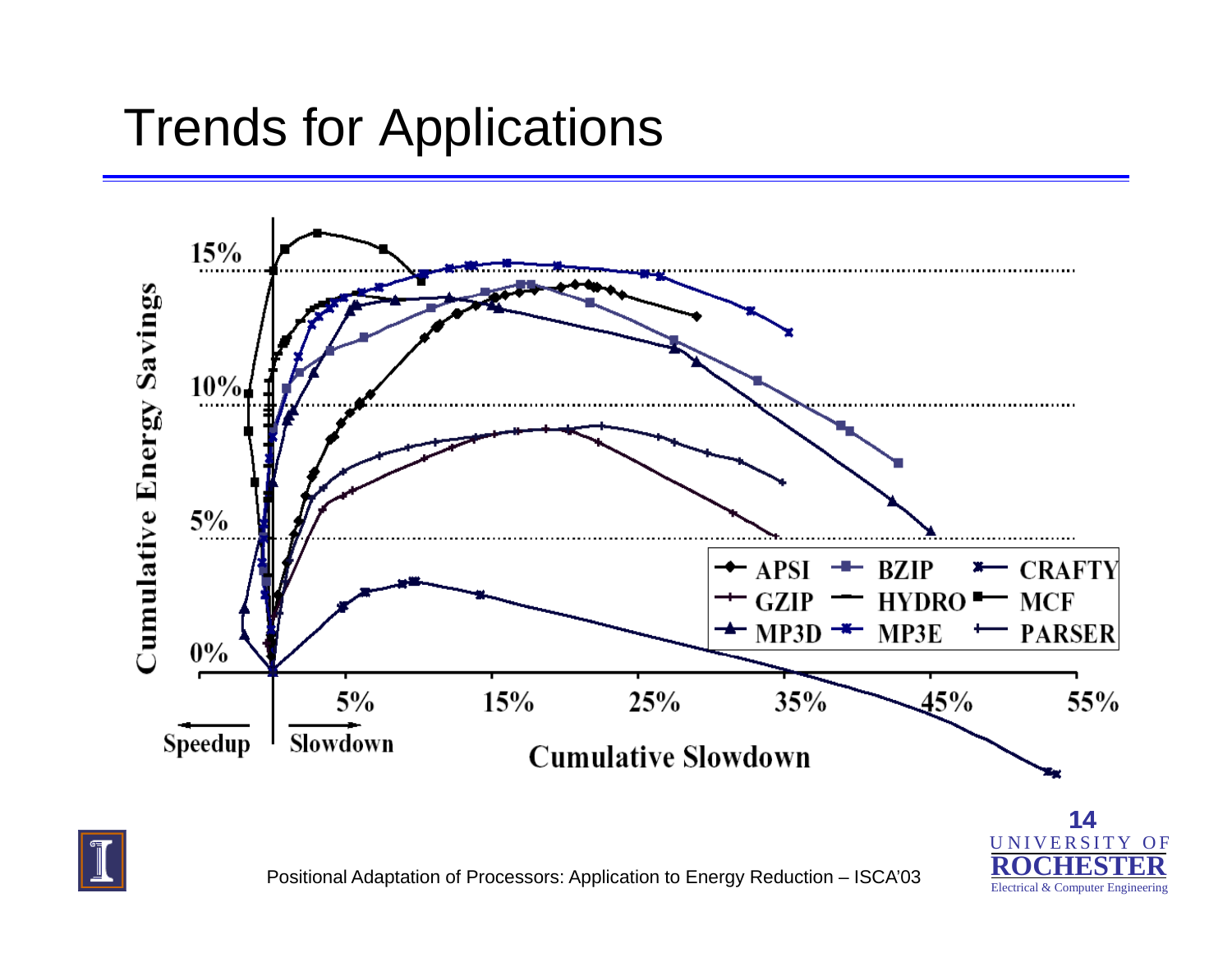#### Trends for Applications





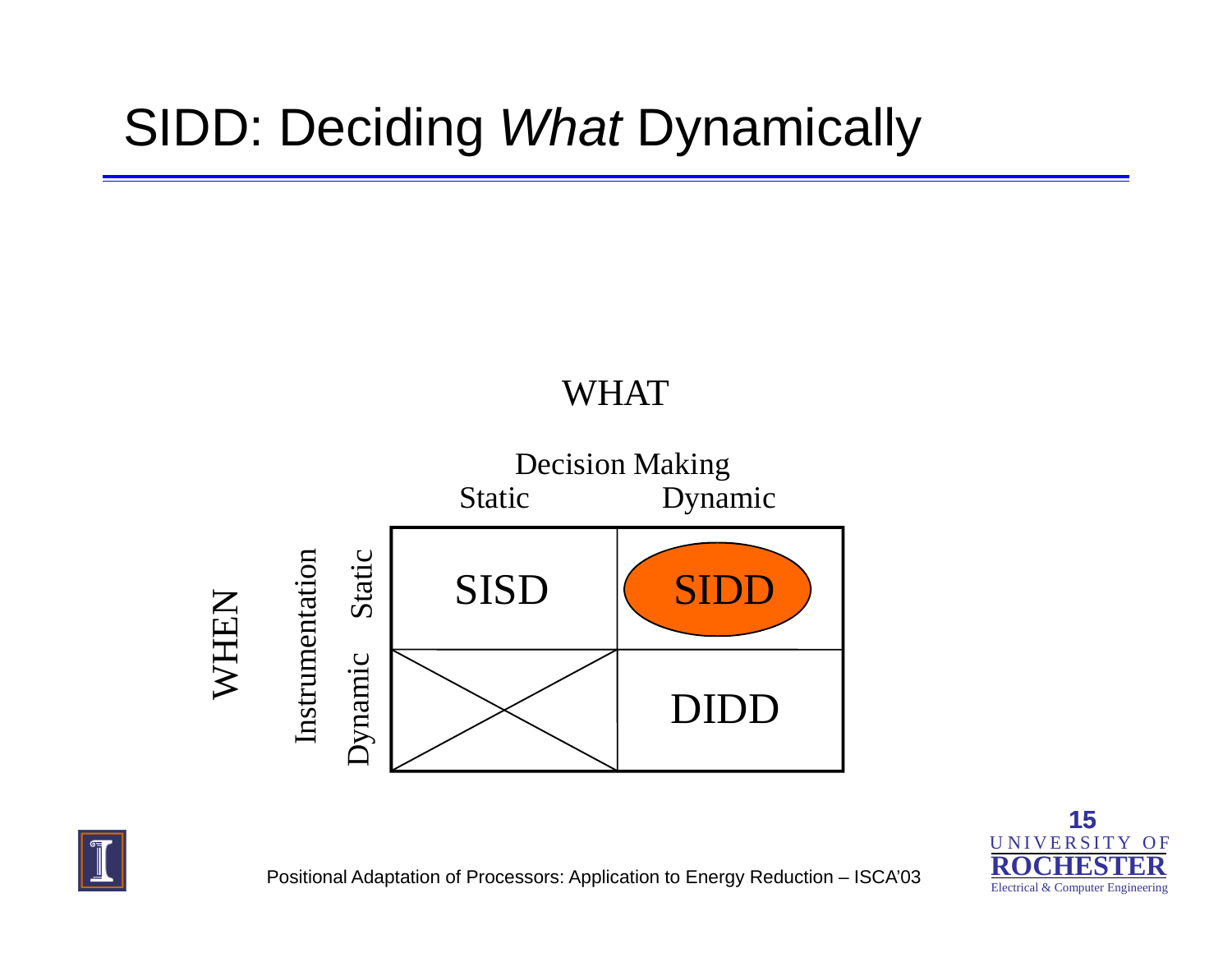## SIDD: Deciding *What* Dynamically

#### WHAT







Positional Adaptation of Processors: Application to Energy Reduction – ISCA'03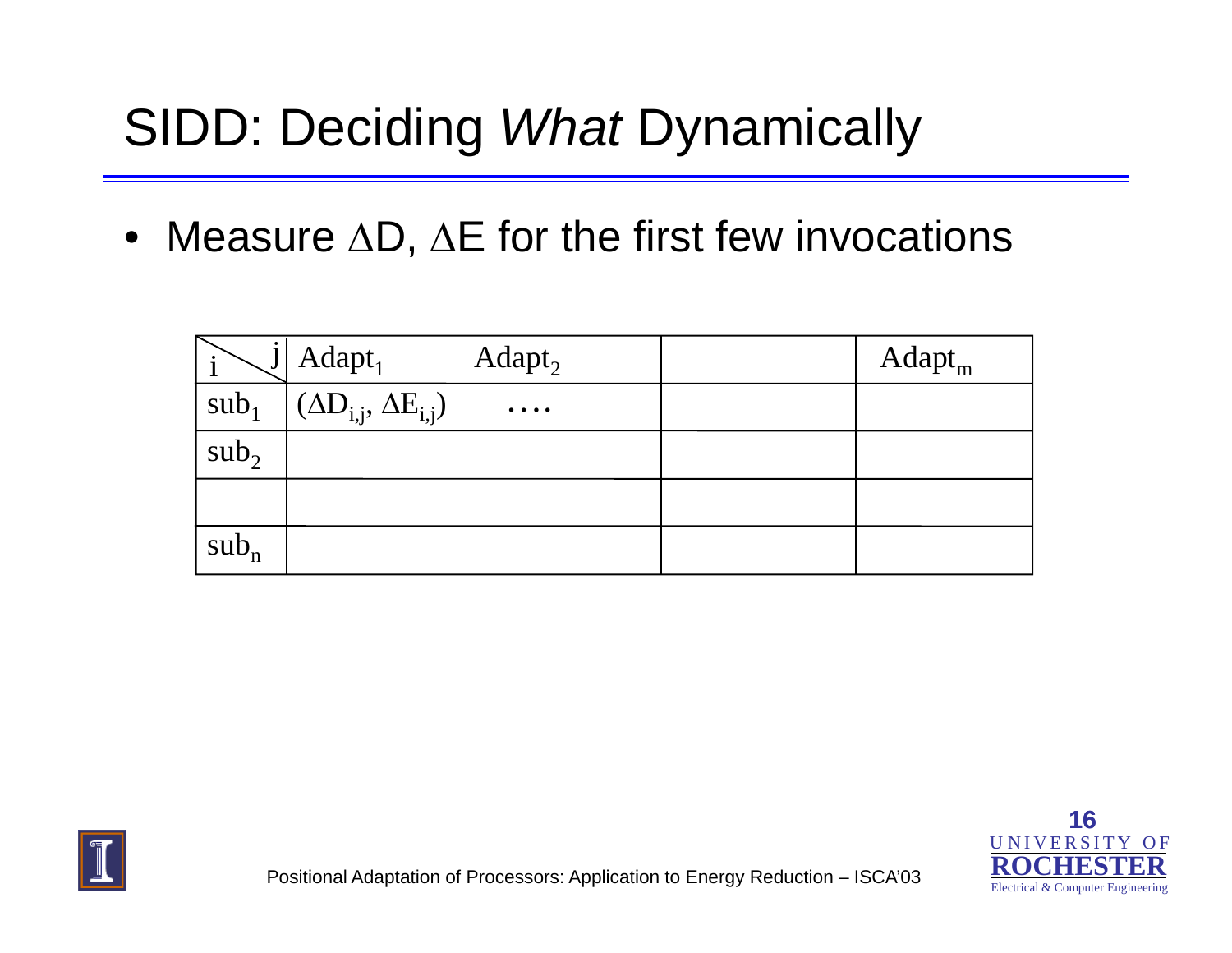#### SIDD: Deciding *What* Dynamically

• Measure  $\Delta \mathsf{D},\,\Delta \mathsf{E}$  for the first few invocations

|                  | Adapt <sub>1</sub>                 | $ Adapt_2 $                                   | Adapt <sub>m</sub> |
|------------------|------------------------------------|-----------------------------------------------|--------------------|
| sub <sub>1</sub> | $(\Delta D_{i,j}, \Delta E_{i,j})$ | $\bullet\quad\bullet\quad\bullet\quad\bullet$ |                    |
| sub <sub>2</sub> |                                    |                                               |                    |
|                  |                                    |                                               |                    |
| $sub_n$          |                                    |                                               |                    |



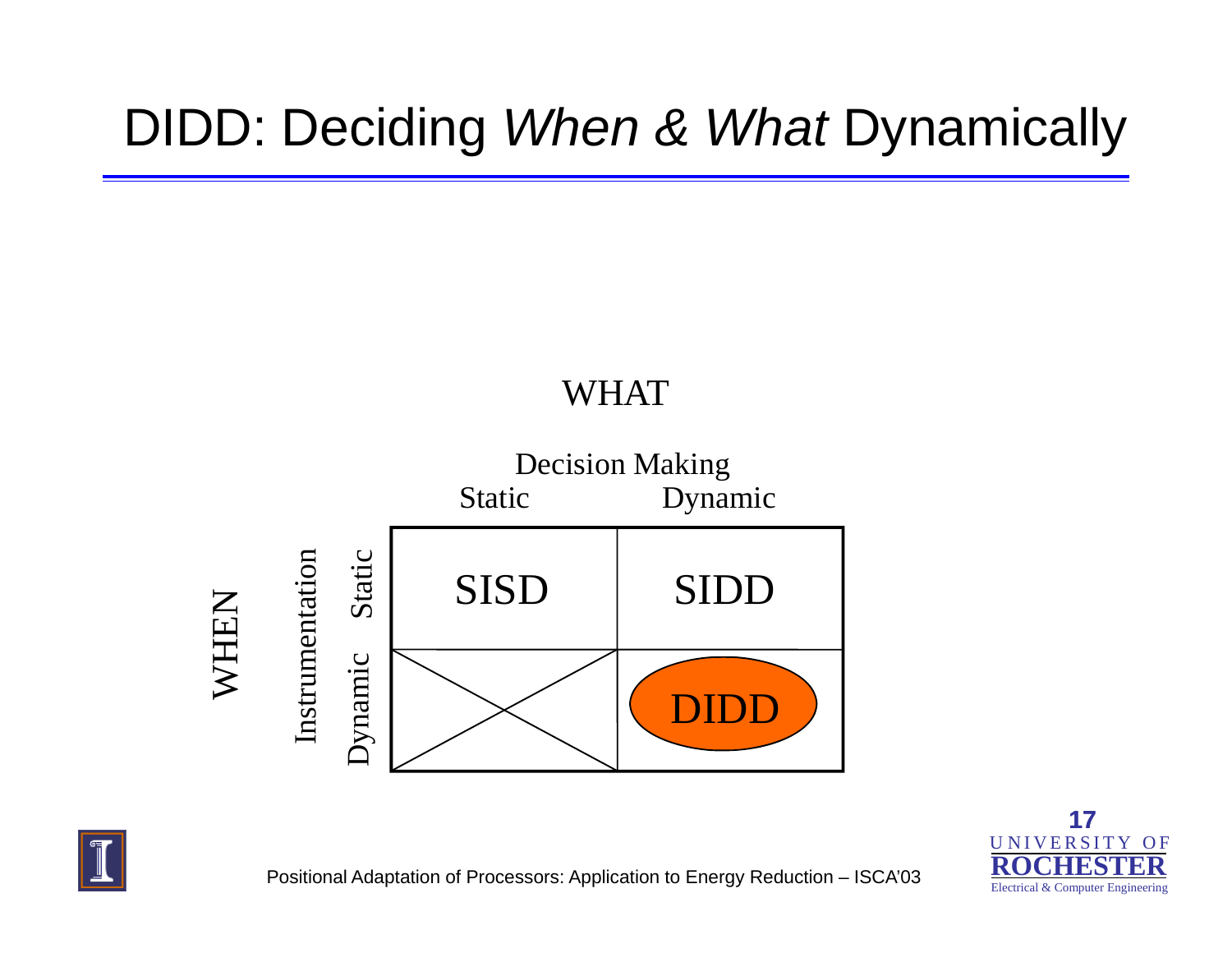#### DIDD: Deciding *When & What* Dynamically

#### WHAT





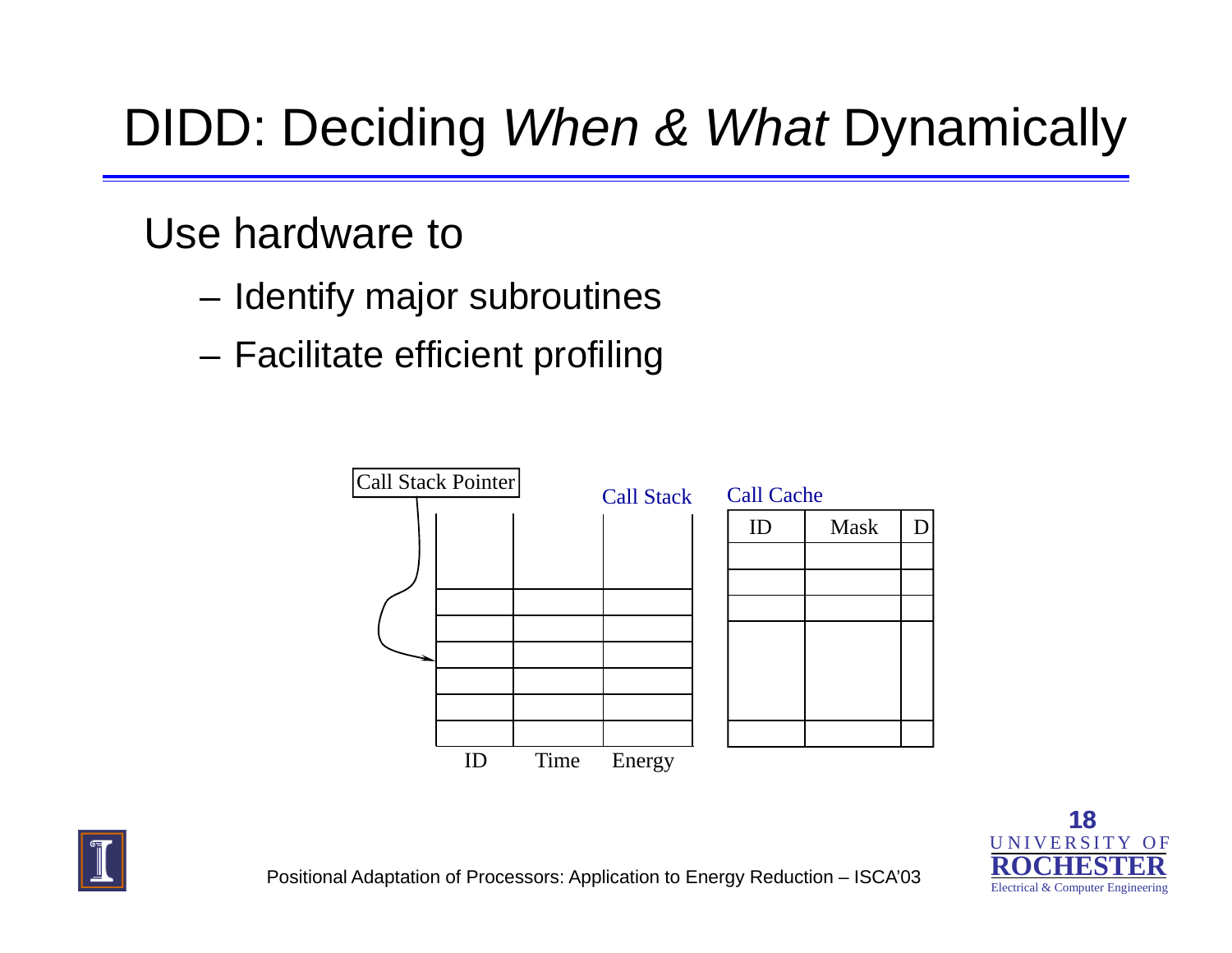## DIDD: Deciding *When & What* Dynamically

#### Use hardware to

- Identify major subroutines
- Facilitate efficient profiling





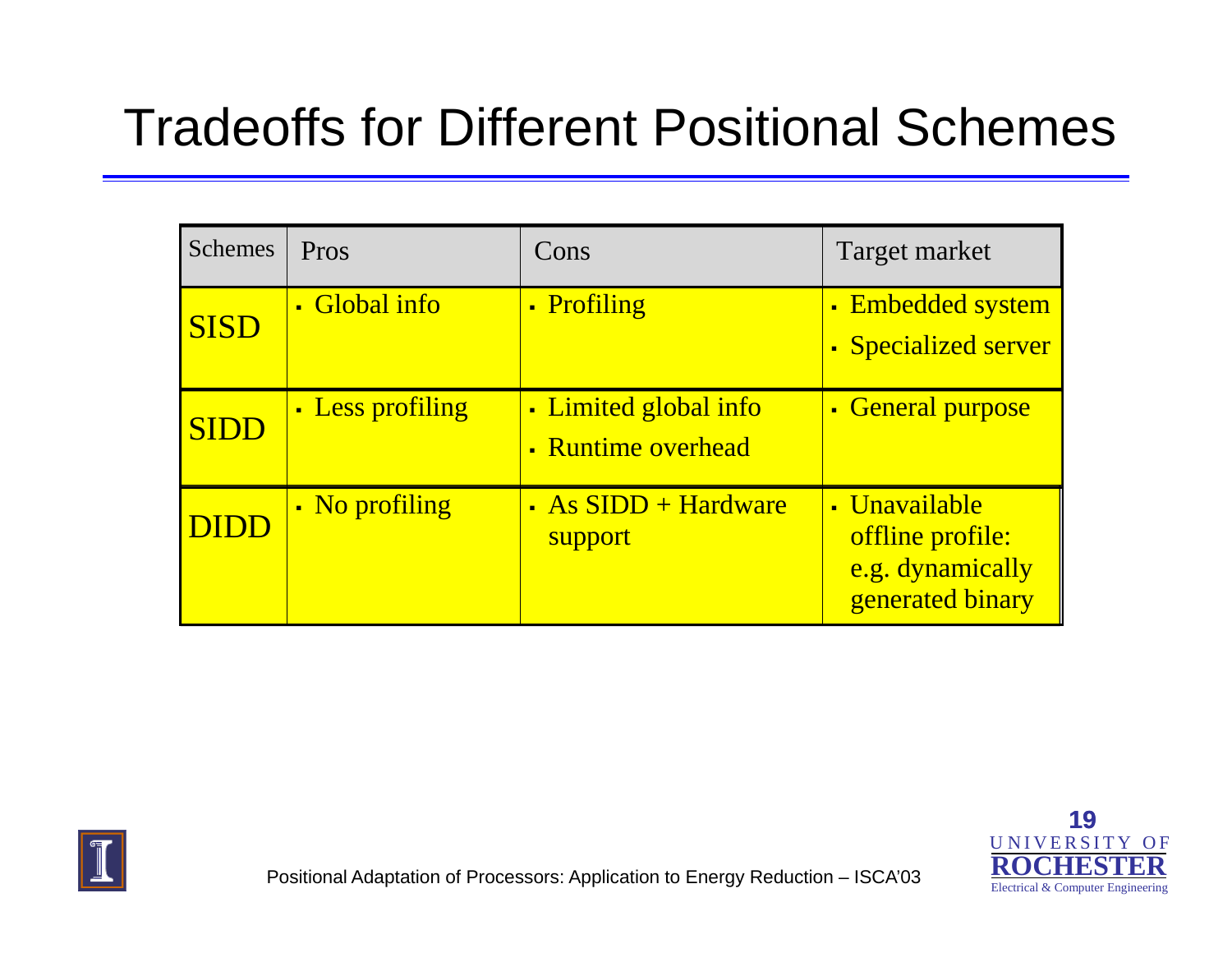#### Tradeoffs for Different Positional Schemes

| <b>Schemes</b> | Pros             | Cons                                        | Target market                                                             |
|----------------|------------------|---------------------------------------------|---------------------------------------------------------------------------|
| <b>SISD</b>    | • Global info    | • Profiling                                 | • Embedded system<br><b>Specialized server</b>                            |
| <b>SIDD</b>    | • Less profiling | • Limited global info<br>• Runtime overhead | • General purpose                                                         |
| DIDD           | • No profiling   | • As SIDD + Hardware<br>support             | • Unavailable<br>offline profile:<br>e.g. dynamically<br>generated binary |



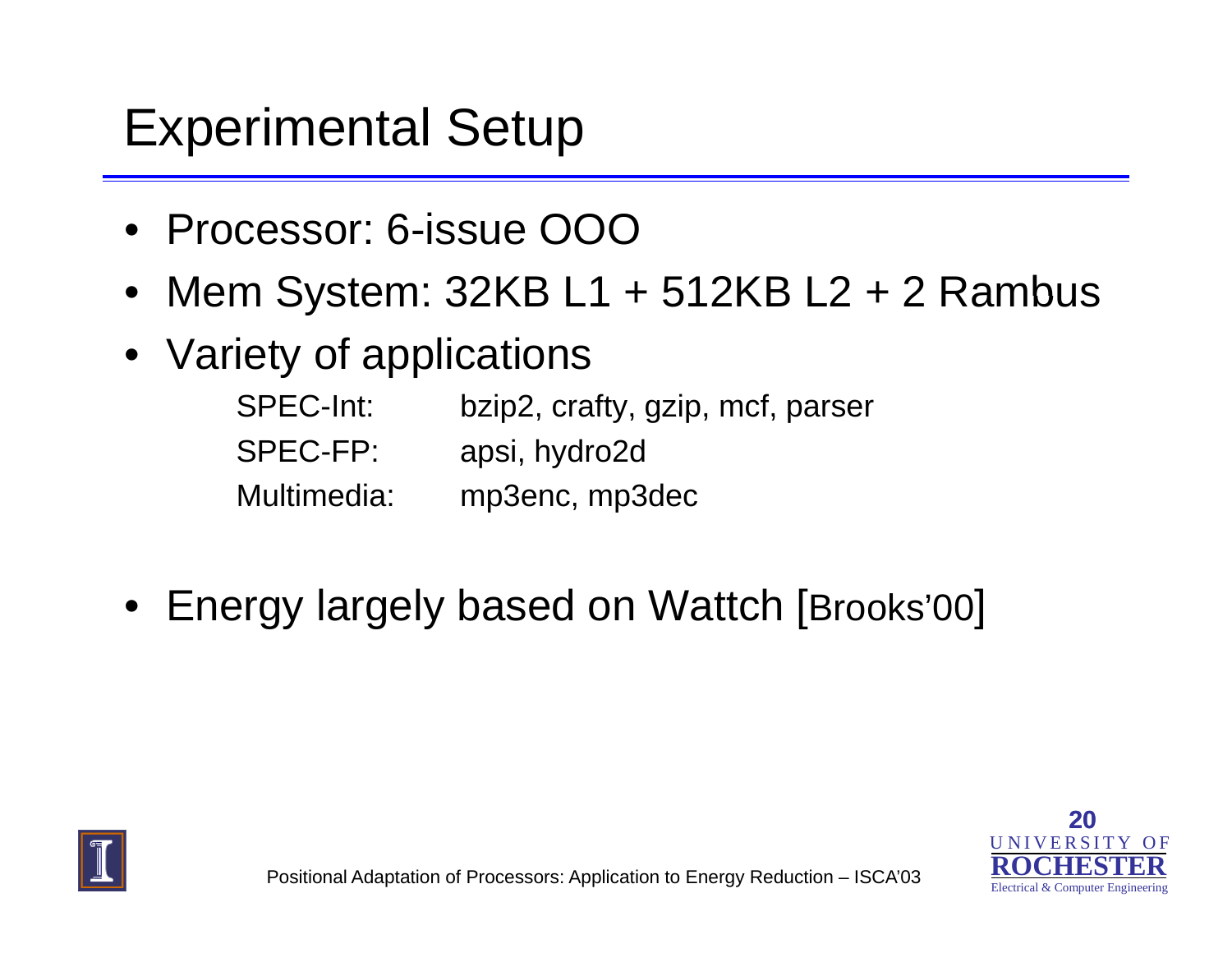#### Experimental Setup

- Processor: 6-issue OOO
- Mem System: 32KB L1 <sup>+</sup> 512KB L2 <sup>+</sup> 2 Rambus
- Variety of applications
	- SPEC-Int: bzip2, crafty, gzip, mcf, parser SPEC-FP: apsi, hydro2d Multimedia: mp3enc, mp3dec
- Energy largely based on Wattch [Brooks'00 ]



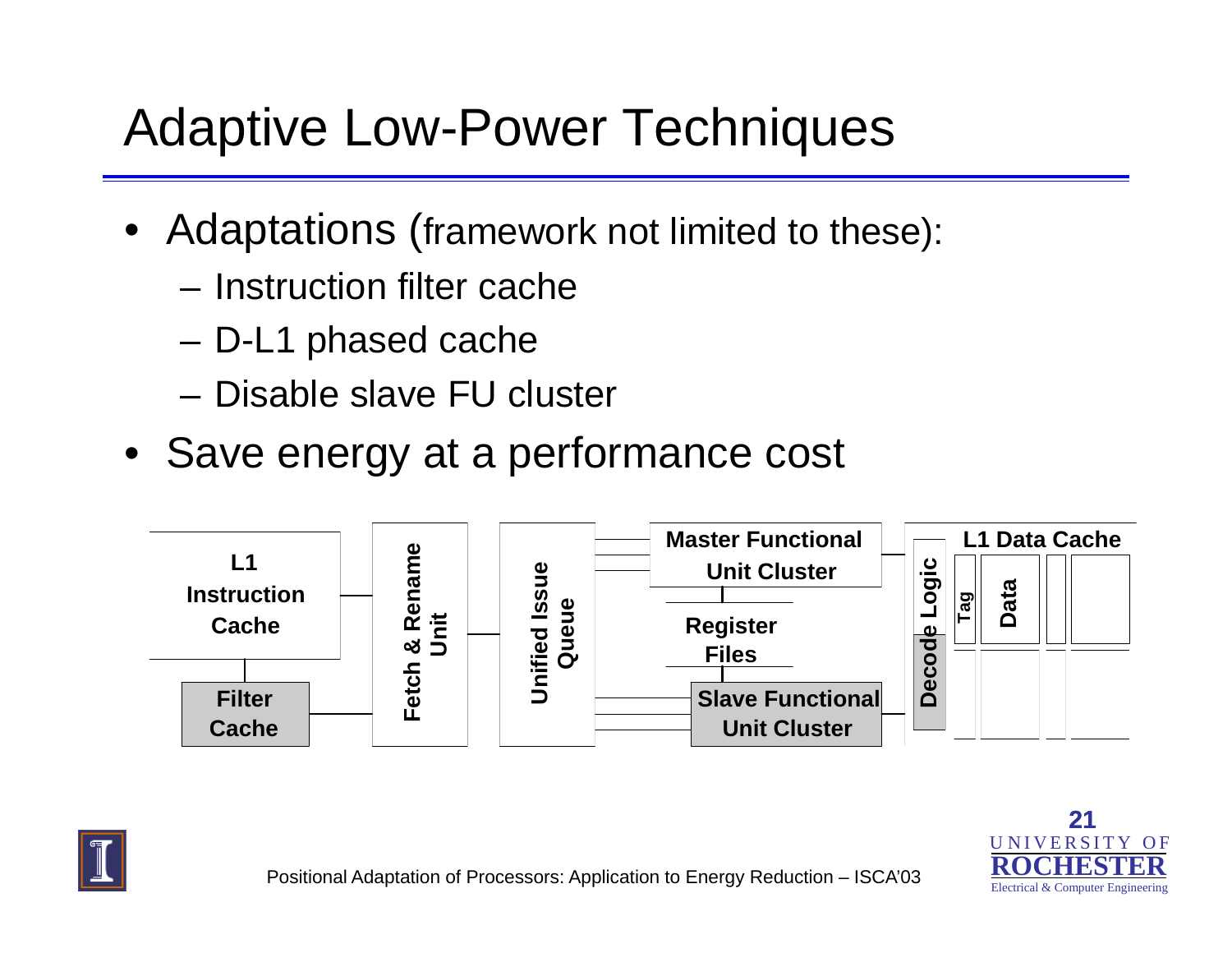## Adaptive Low-Power Techniques

- Adaptations (framework not limited to these):
	- Instruction filter cache
	- –D-L1 phased cache
	- Disable slave FU cluster
- Save energy at a performance cost





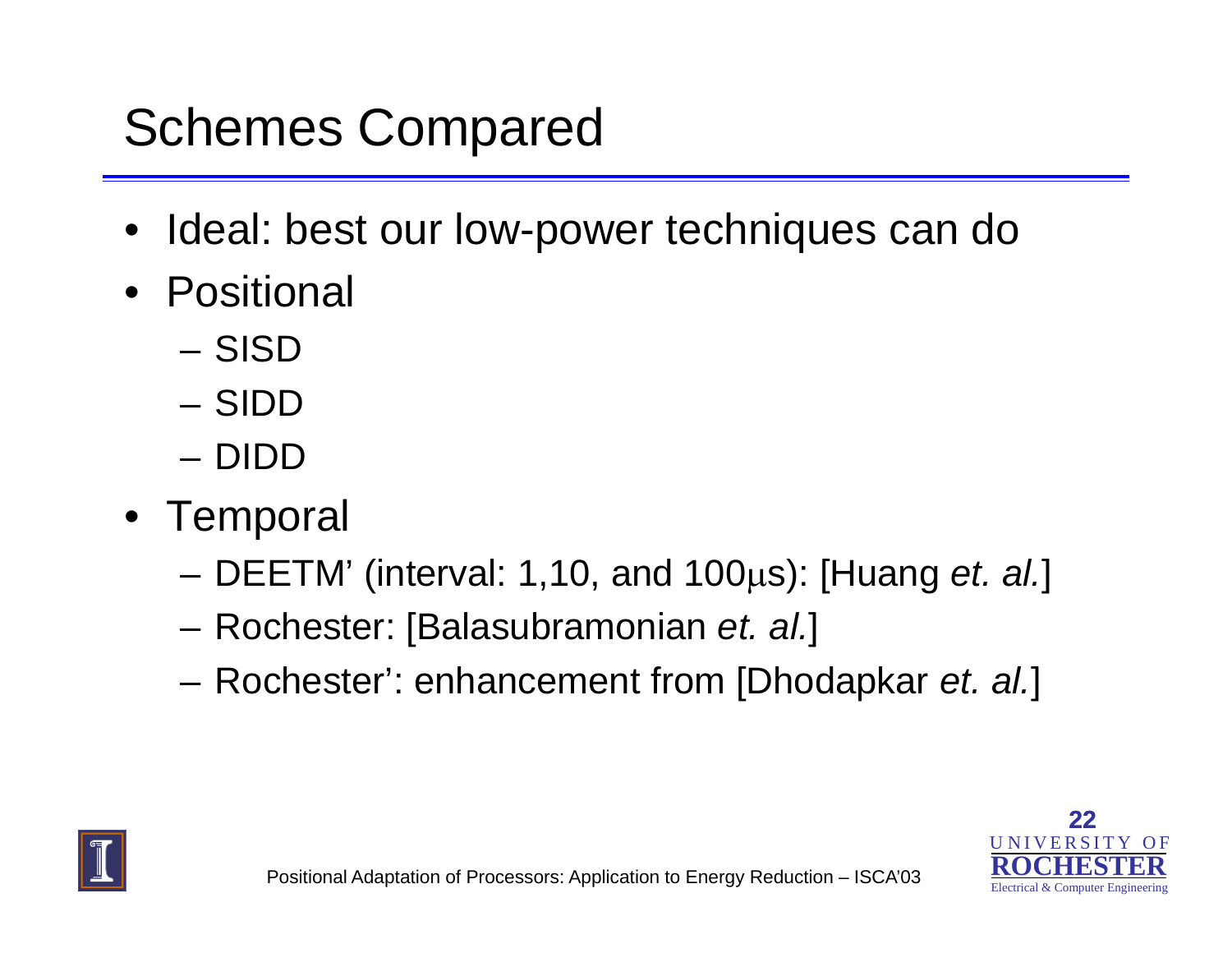# Schemes Compared

- Ideal: best our low-power techniques can do
- Positional
	- SISD
	- –SIDD
	- DIDD
- Tem poral
	- and the state of the DEETM' (interval: 1,10, and 100 μs): [Huang *et. al.*]
	- and the state of the Rochester: [Balasubramonian *et. al.*]
	- and the state of the Rochester': enhancement from [Dhodapkar *et. al.*]



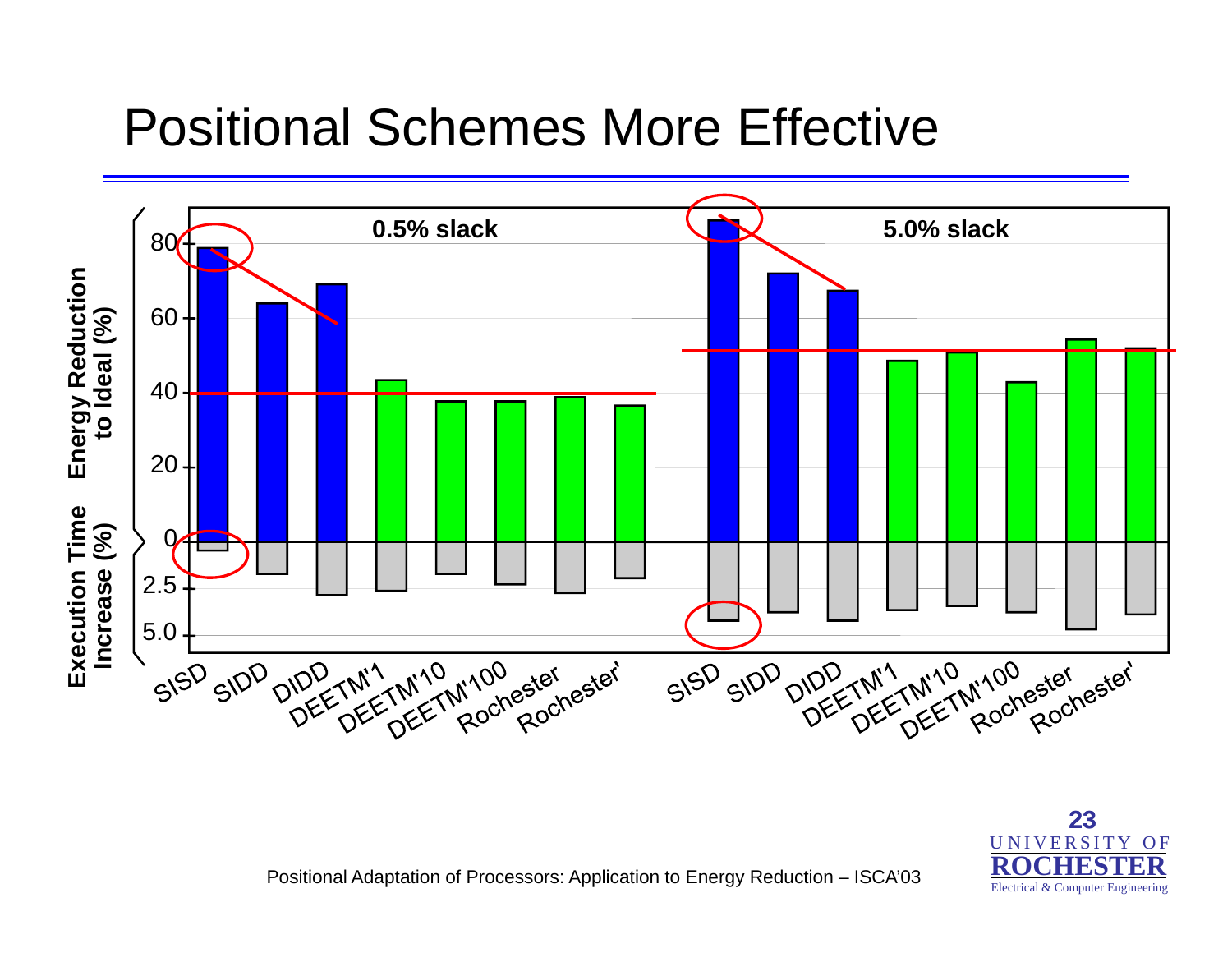#### Positional Schemes More Effective



Positional Adaptation of Processors: Application to Energy Reduction – ISCA'03

U N I V E R S I T Y O F **ROCHESTER**Electrical & Computer Engineering

**23**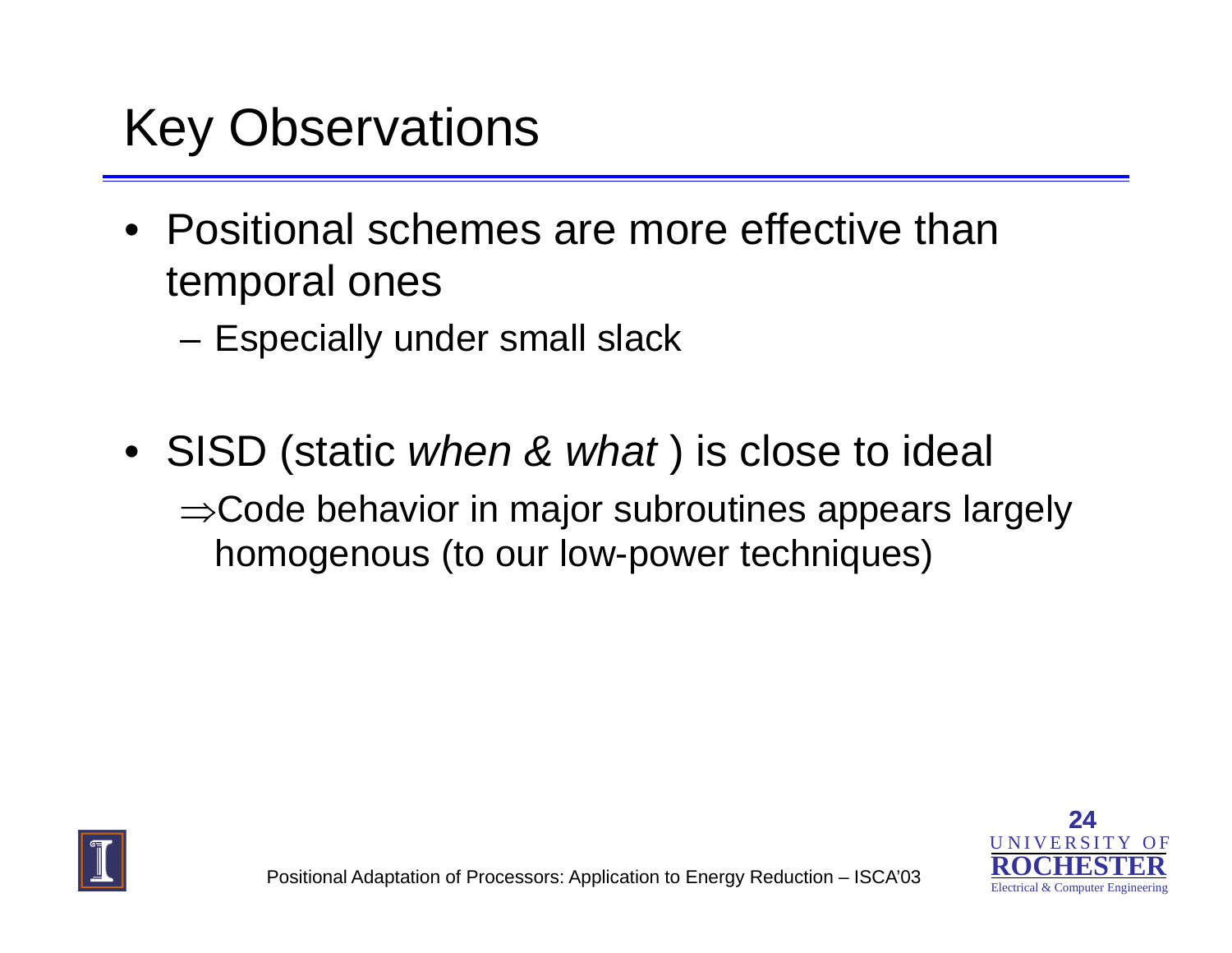#### Key Observations

- Positional schemes are more effective than temporal ones
	- and the state of the Especially under small slack
- SISD (static *when & what* ) is close to ideal <sup>⇒</sup>Code behavior in major subroutines appears largely homogenous (to our low-power techniques)



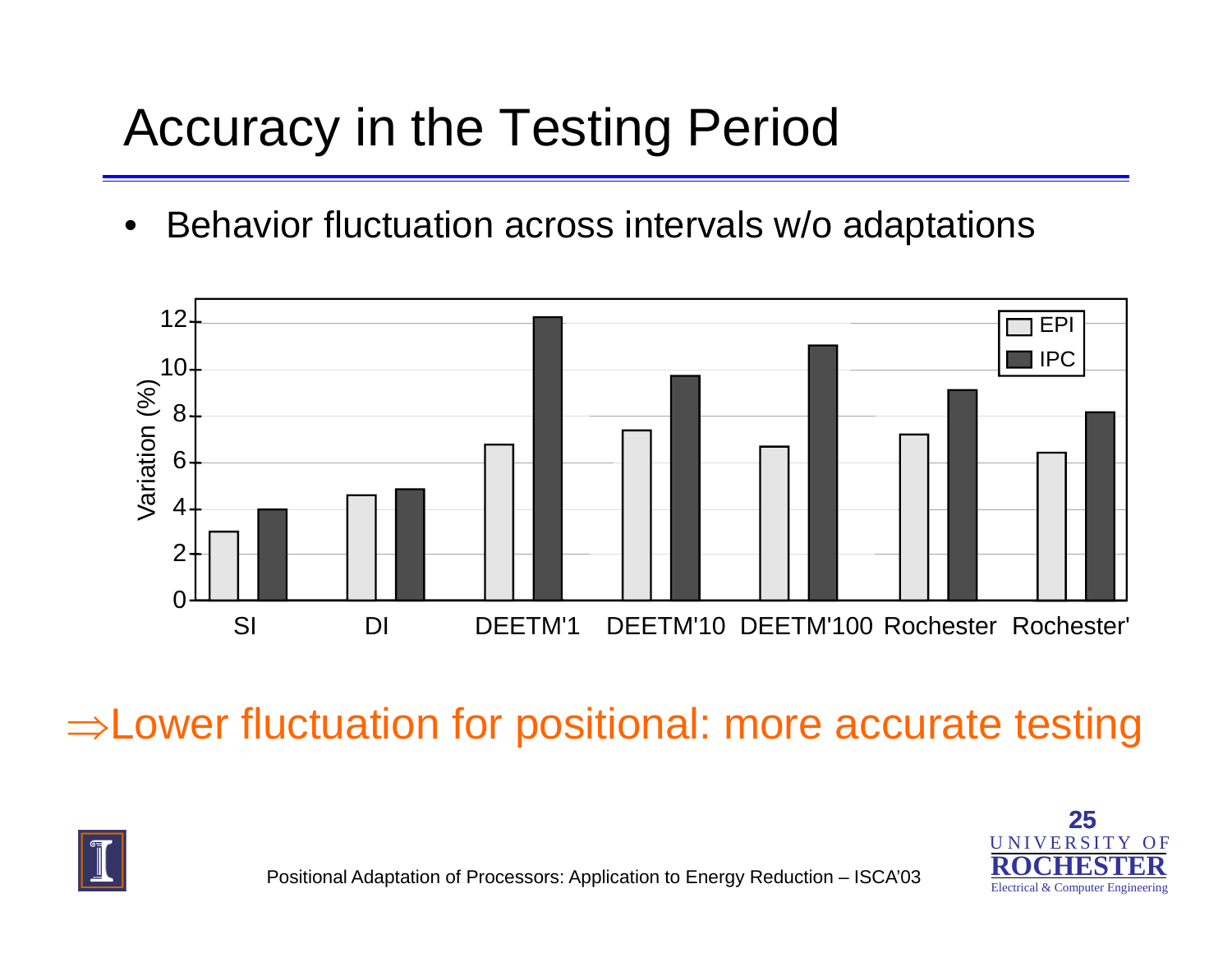# Accuracy in the Testing Period

 $\bullet$ Behavior fluctuation across intervals w/o adaptations



<sup>⇒</sup>Lower fluctuation for positional: more accurate testing



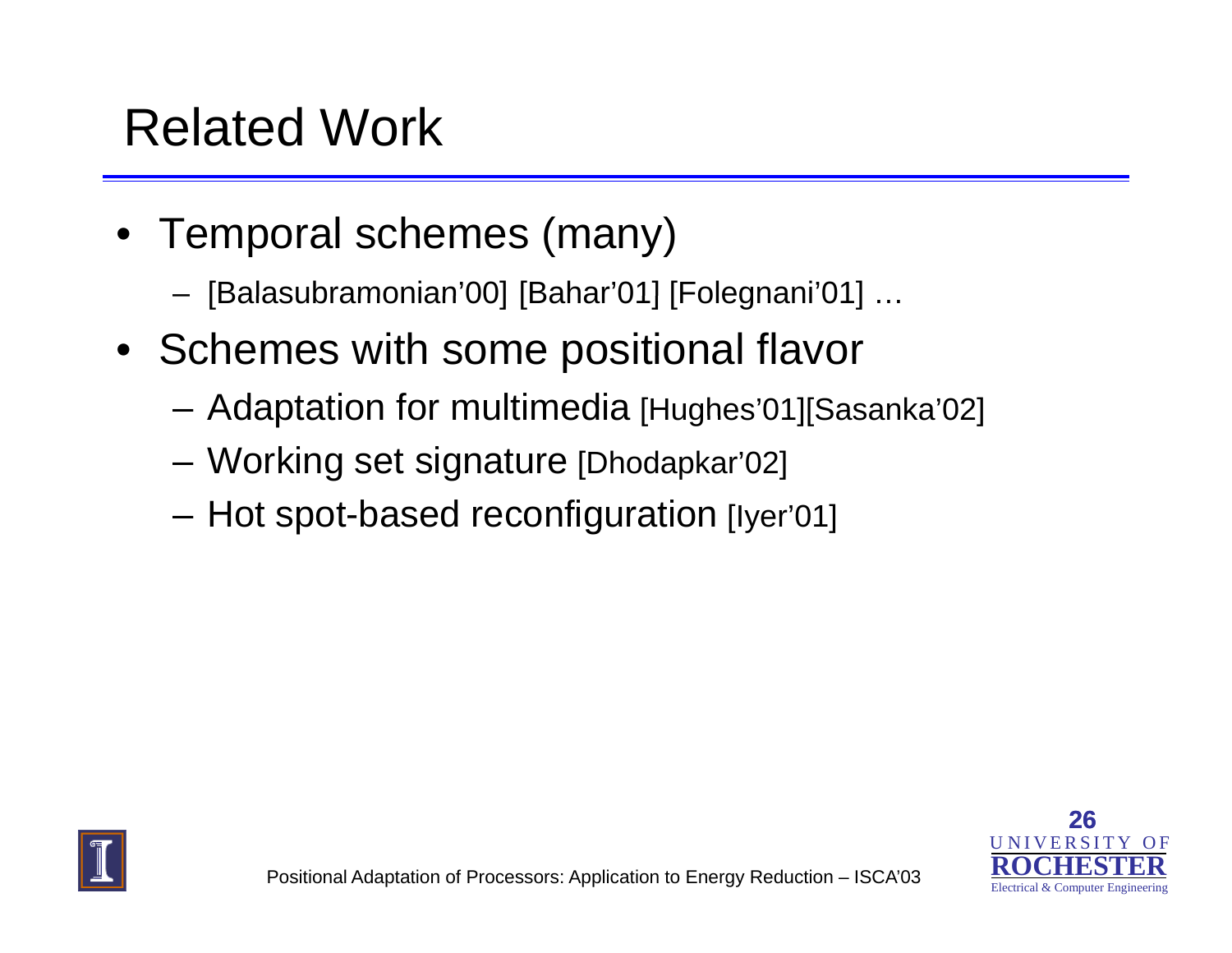#### Related Work

- Temporal schemes (many)
	- –— [Balasubramonian'00] [Bahar'01] [Folegnani'01] …
- Schemes with some positional flavor
	- and the state of the — Adaptation for multimedia [Hughes'01][Sasanka'02]
	- and the state of the Working set signature [Dhodapkar'02]
	- –Hot spot-based reconfiguration [Iyer'01]



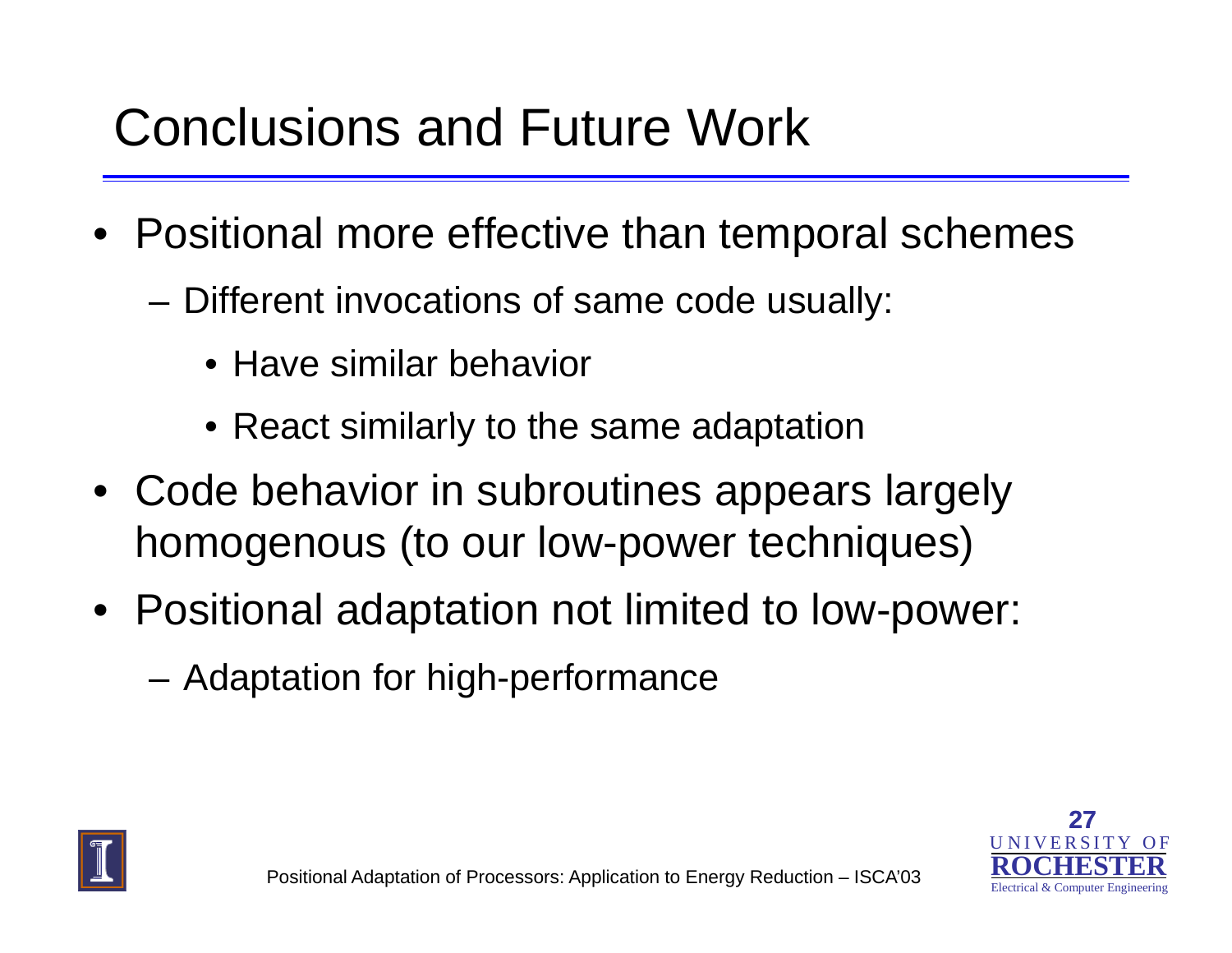#### Conclusions and Future Work

- Positional more effective than temporal schemes
	- Different invocations of same code usually:
		- Have similar behavior
		- $\bullet$  React similarly to the same adaptation
- Code behavior in subroutines appears largely homogenous (to our low-power techniques)
- Positional adaptation not limited to low-power:
	- –Adaptation for high-performance



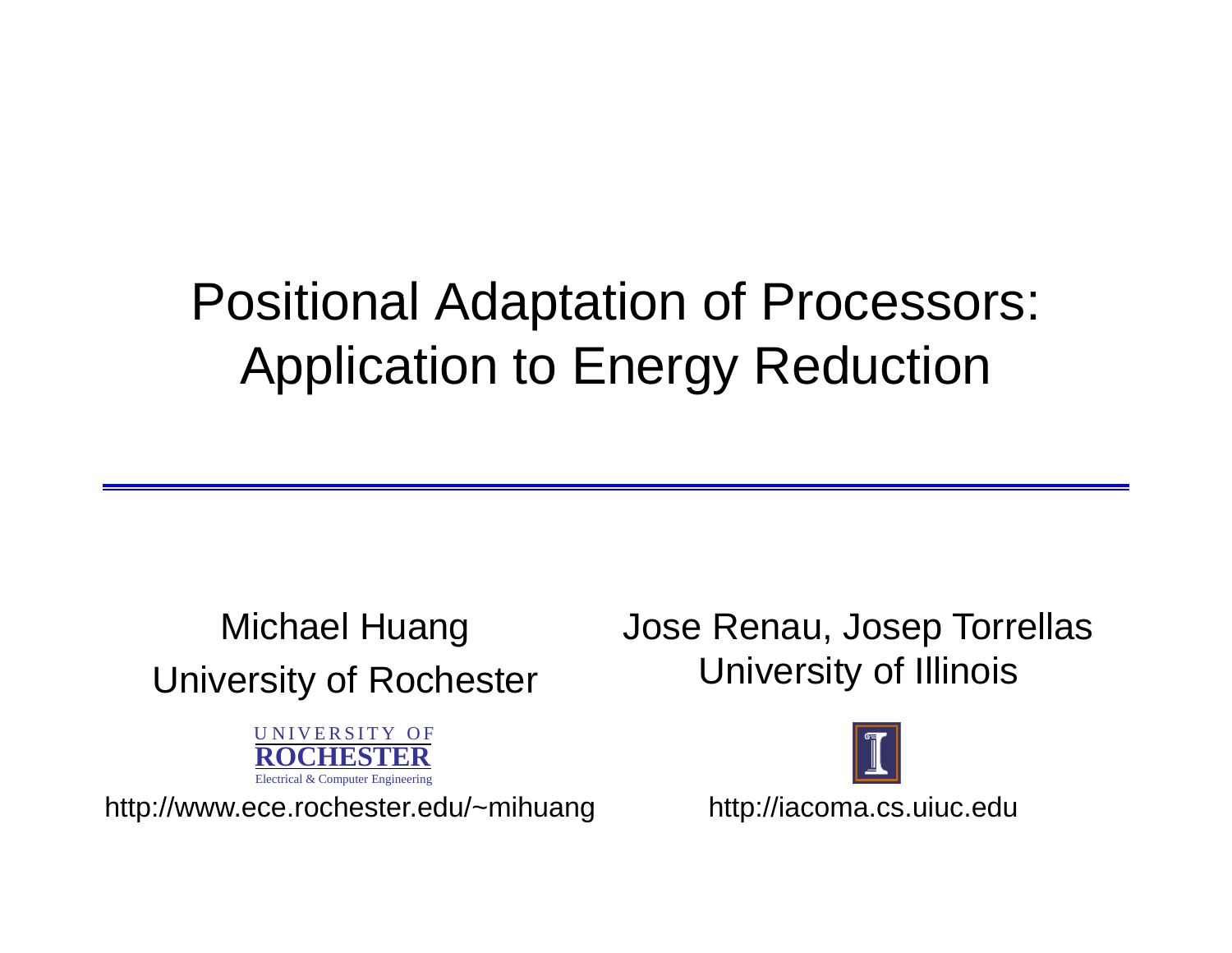## Positional Adaptation of Processors: Application to Energy Reduction

# University of Rochester University of Illinois



http://www.ece.rochester.edu/~mihuang http://iacoma.cs.uiuc.edu

Michael Huang Jose Renau, Josep Torrellas

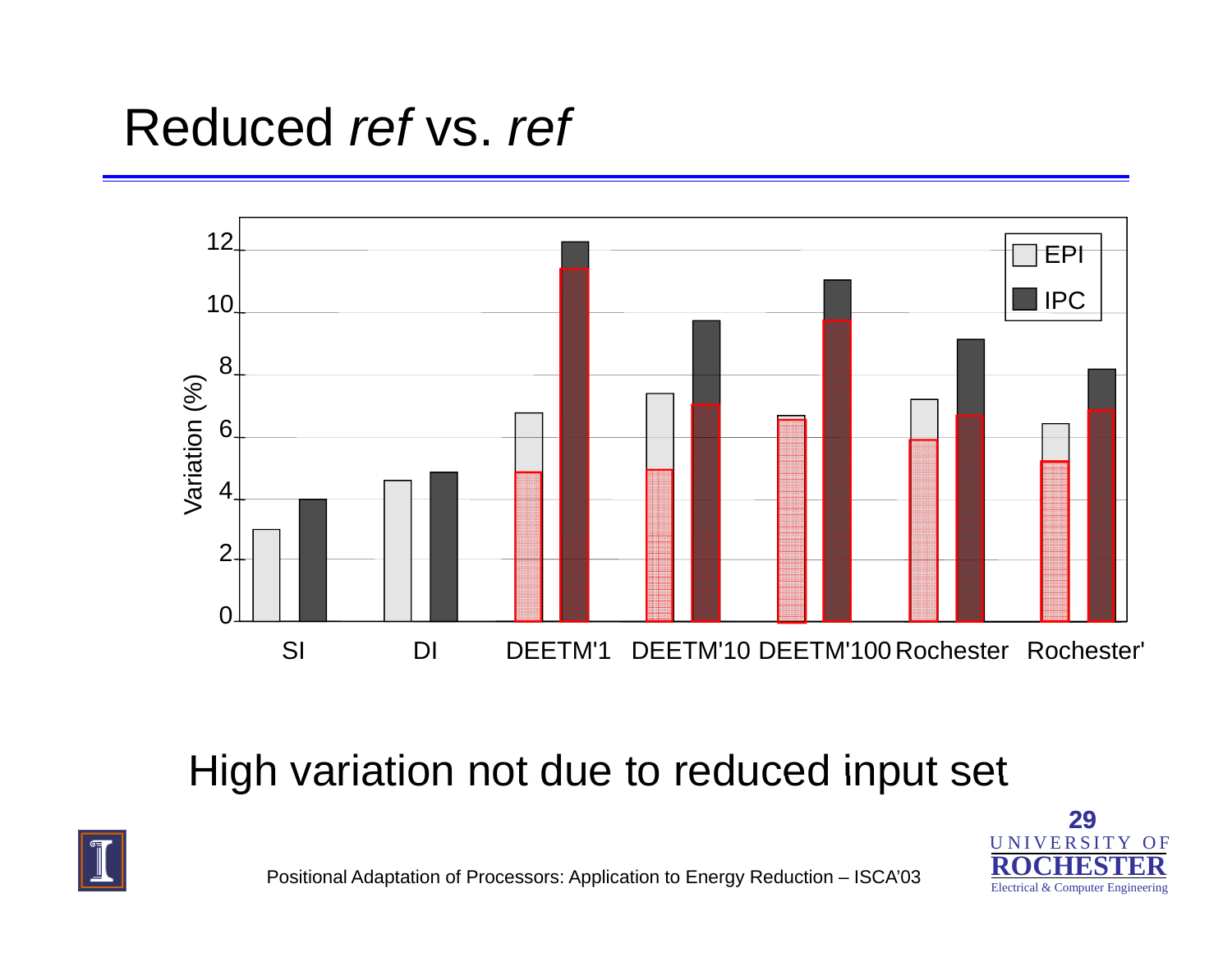#### Reduced *ref* vs. *ref*



#### High variation not due to reduced input set





Positional Adaptation of Processors: Application to Energy Reduction – ISCA'03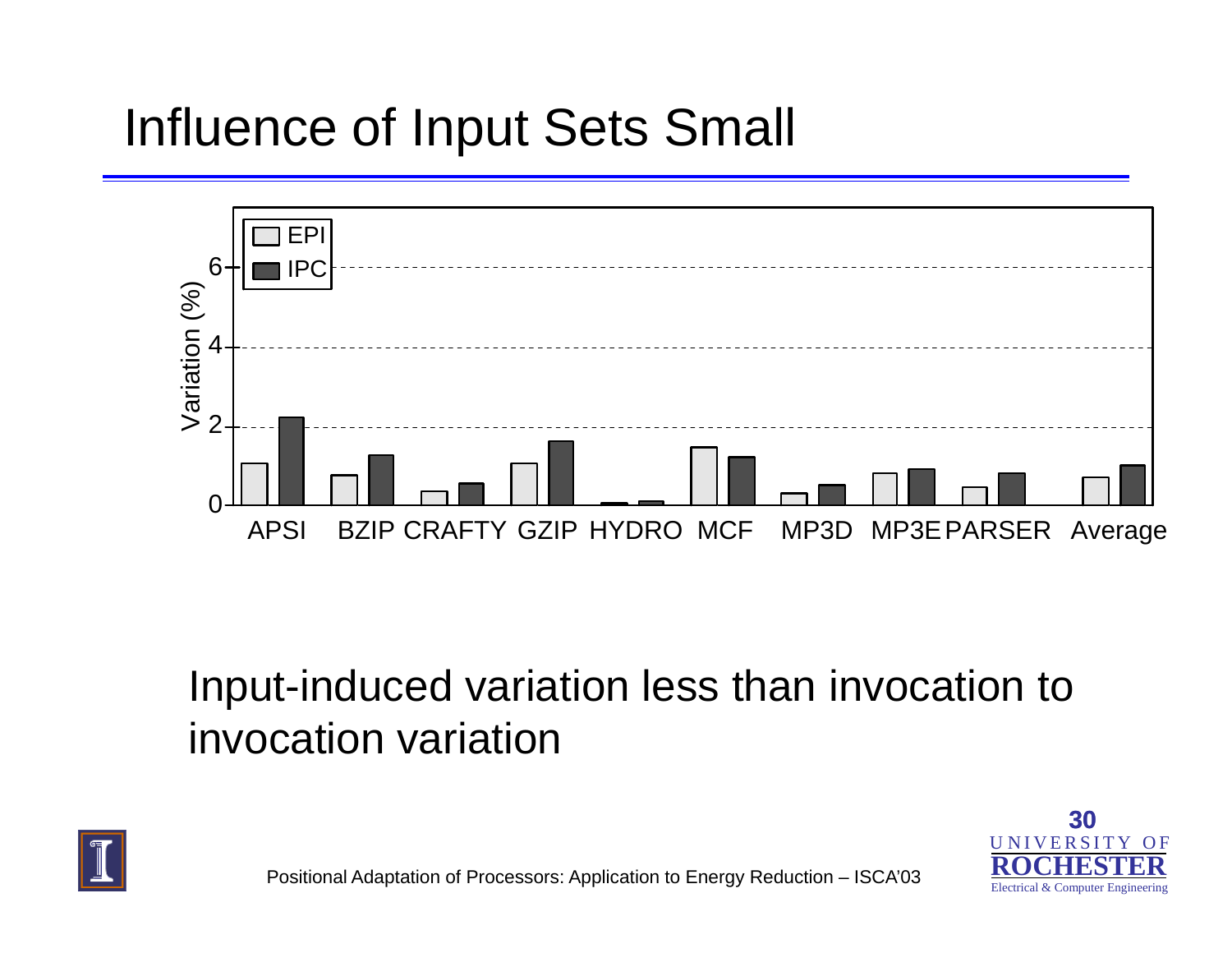#### Influence of Input Sets Small



#### Input-induced variation less than invocation to invocation variation



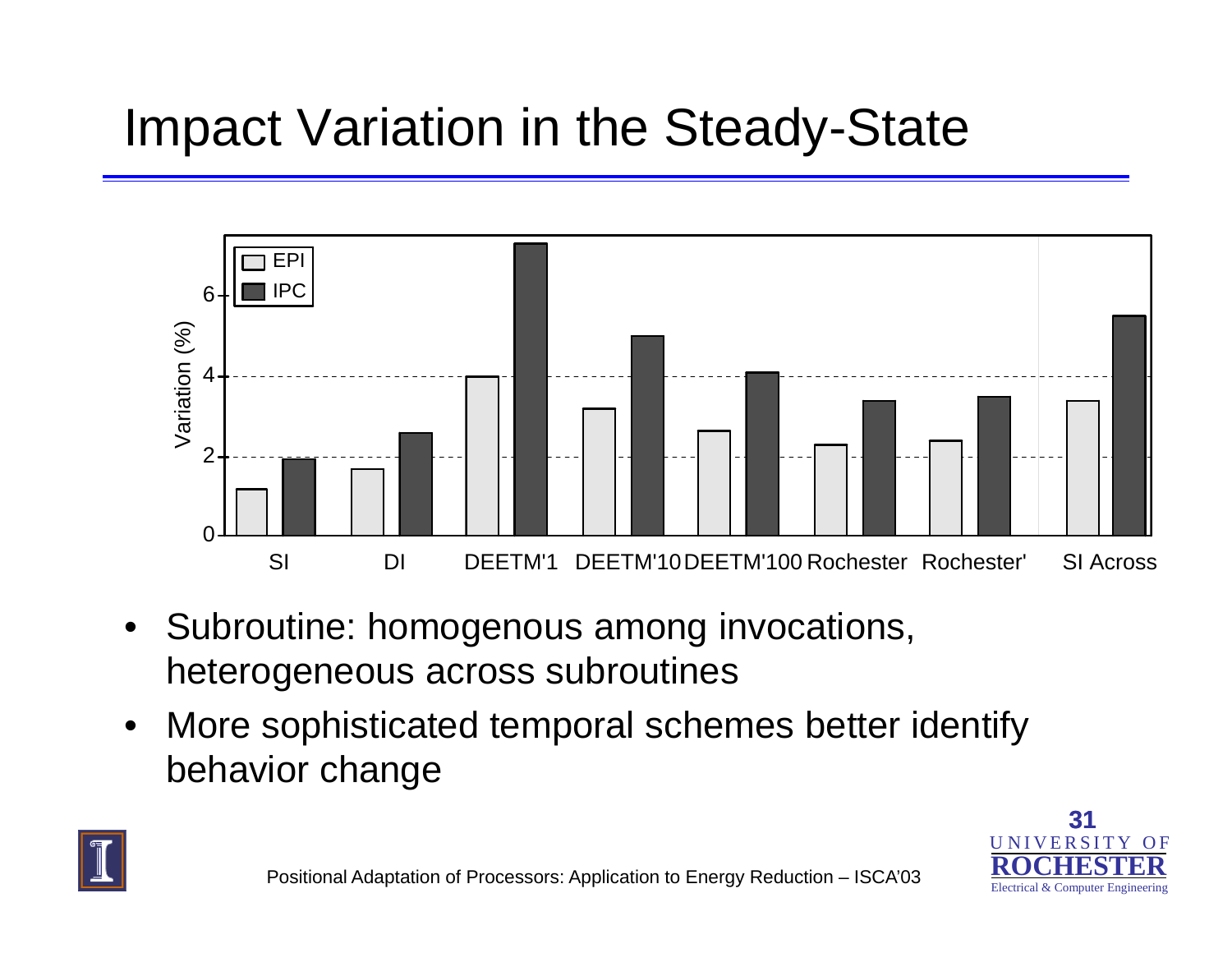#### Impact Variation in the Steady-State



- $\bullet$  Subroutine: homogenous among invocations, heterogeneous across subroutines
- $\bullet$  More sophisticated temporal schemes better identify behavior change



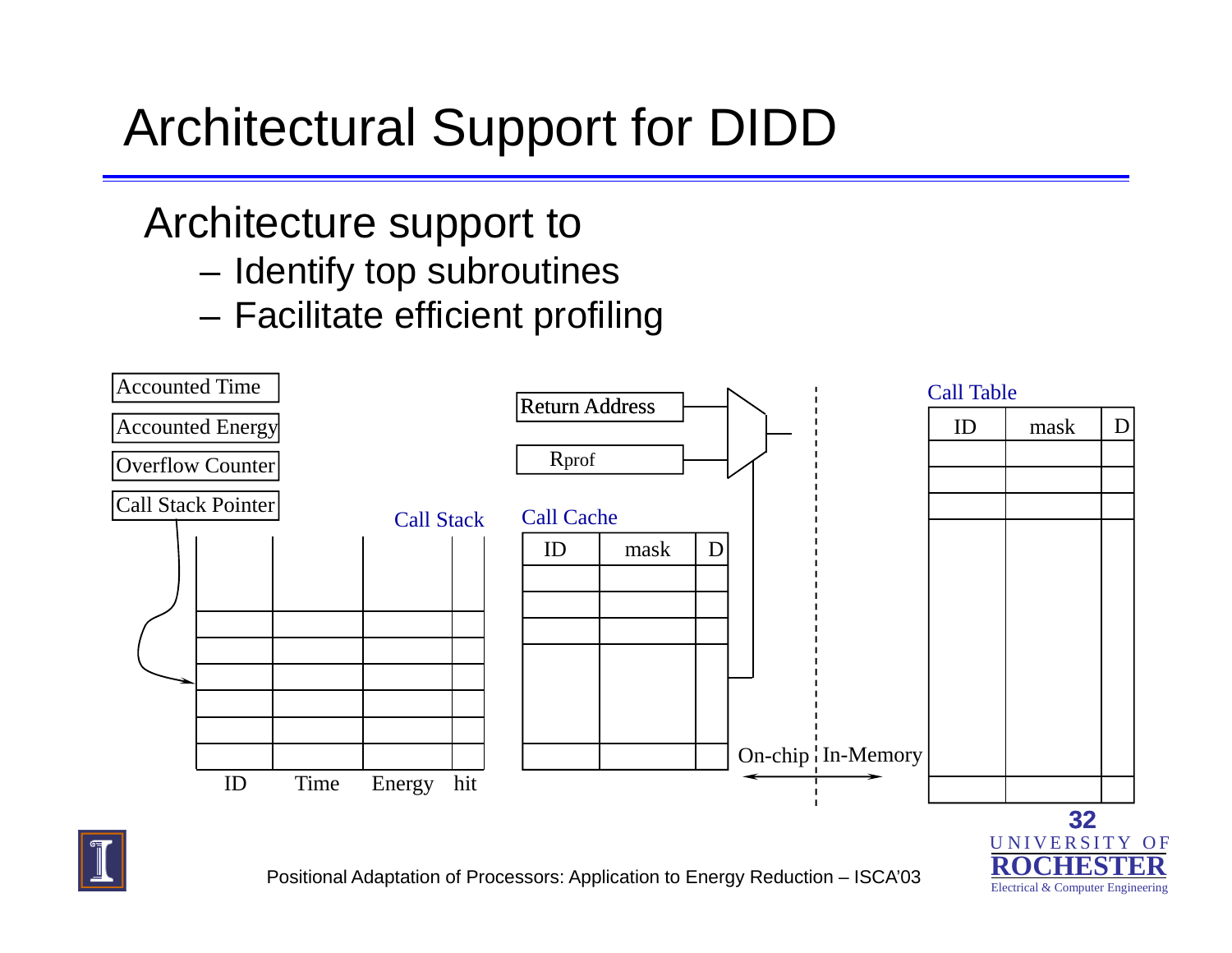# Architectural Support for DIDD

#### Architecture support to

- Identify top subroutines
- Facilitate efficient profiling



Electrical & Computer Engineering